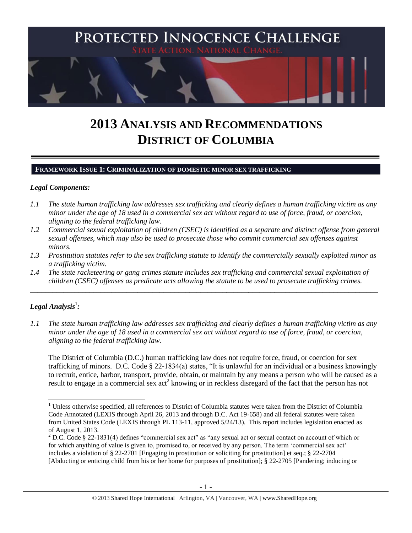

# **2013 ANALYSIS AND RECOMMENDATIONS DISTRICT OF COLUMBIA**

### **FRAMEWORK ISSUE 1: CRIMINALIZATION OF DOMESTIC MINOR SEX TRAFFICKING**

### *Legal Components:*

- *1.1 The state human trafficking law addresses sex trafficking and clearly defines a human trafficking victim as any minor under the age of 18 used in a commercial sex act without regard to use of force, fraud, or coercion, aligning to the federal trafficking law.*
- *1.2 Commercial sexual exploitation of children (CSEC) is identified as a separate and distinct offense from general sexual offenses, which may also be used to prosecute those who commit commercial sex offenses against minors.*
- *1.3 Prostitution statutes refer to the sex trafficking statute to identify the commercially sexually exploited minor as a trafficking victim.*

\_\_\_\_\_\_\_\_\_\_\_\_\_\_\_\_\_\_\_\_\_\_\_\_\_\_\_\_\_\_\_\_\_\_\_\_\_\_\_\_\_\_\_\_\_\_\_\_\_\_\_\_\_\_\_\_\_\_\_\_\_\_\_\_\_\_\_\_\_\_\_\_\_\_\_\_\_\_\_\_\_\_\_\_\_\_\_\_\_\_\_\_\_\_

*1.4 The state racketeering or gang crimes statute includes sex trafficking and commercial sexual exploitation of children (CSEC) offenses as predicate acts allowing the statute to be used to prosecute trafficking crimes.* 

# $\bm{L}$ egal Analysis<sup>1</sup>:

 $\overline{a}$ 

*1.1 The state human trafficking law addresses sex trafficking and clearly defines a human trafficking victim as any minor under the age of 18 used in a commercial sex act without regard to use of force, fraud, or coercion, aligning to the federal trafficking law.*

The District of Columbia (D.C.) human trafficking law does not require force, fraud, or coercion for sex trafficking of minors. D.C. Code § 22-1834(a) states, "It is unlawful for an individual or a business knowingly to recruit, entice, harbor, transport, provide, obtain, or maintain by any means a person who will be caused as a result to engage in a commercial sex act<sup>2</sup> knowing or in reckless disregard of the fact that the person has not

 $1$  Unless otherwise specified, all references to District of Columbia statutes were taken from the District of Columbia Code Annotated (LEXIS through April 26, 2013 and through D.C. Act 19-658) and all federal statutes were taken from United States Code (LEXIS through PL 113-11, approved 5/24/13). This report includes legislation enacted as of August 1, 2013.

<sup>2</sup> D.C. Code § 22-1831(4) defines "commercial sex act" as "any sexual act or sexual contact on account of which or for which anything of value is given to, promised to, or received by any person. The term 'commercial sex act' includes a violation of § 22-2701 [Engaging in prostitution or soliciting for prostitution] et seq.; § 22-2704 [Abducting or enticing child from his or her home for purposes of prostitution]; [§ 22-2705](http://www.lexis.com/research/buttonTFLink?_m=885c15e1bec77c1b8d4b0f41eba76d71&_xfercite=%3ccite%20cc%3d%22USA%22%3e%3c%21%5bCDATA%5bD.C.%20Code%20%a7%2022-1831%5d%5d%3e%3c%2fcite%3e&_butType=4&_butStat=0&_butNum=4&_butInline=1&_butinfo=DCCODE%2022-2705&_fmtstr=FULL&docnum=1&_startdoc=1&wchp=dGLzVzz-zSkAA&_md5=7a74531524352acf7dfa8b3ca63c9f3a) [Pandering; inducing or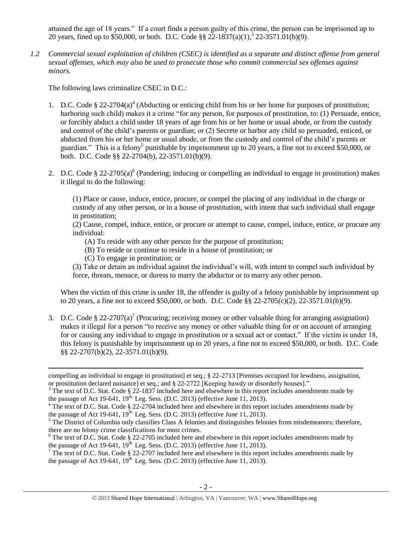<span id="page-1-0"></span>attained the age of 18 years." If a court finds a person guilty of this crime, the person can be imprisoned up to 20 years, fined up to \$50,000, or both. D.C. Code §§ 22-1837(a)(1),<sup>3</sup> 22-3571.01(b)(9).

*1.2 Commercial sexual exploitation of children (CSEC) is identified as a separate and distinct offense from general sexual offenses, which may also be used to prosecute those who commit commercial sex offenses against minors.*

The following laws criminalize CSEC in D.C.:

- <span id="page-1-2"></span>1. D.C. Code § 22-2704(a)<sup>4</sup> (Abducting or enticing child from his or her home for purposes of prostitution; harboring such child) makes it a crime "for any person, for purposes of prostitution, to: (1) Persuade, entice, or forcibly abduct a child under 18 years of age from his or her home or usual abode, or from the custody and control of the child's parents or guardian; or (2) Secrete or harbor any child so persuaded, enticed, or abducted from his or her home or usual abode, or from the custody and control of the child's parents or guardian." This is a felony<sup>5</sup> punishable by imprisonment up to 20 years, a fine not to exceed \$50,000, or both. D.C. Code §§ 22-2704(b), 22-3571.01(b)(9).
- 2. D.C. Code § 22-2705(a)<sup>6</sup> (Pandering; inducing or compelling an individual to engage in prostitution) makes it illegal to do the following:

<span id="page-1-1"></span>(1) Place or cause, induce, entice, procure, or compel the placing of any individual in the charge or custody of any other person, or in a house of prostitution, with intent that such individual shall engage in prostitution;

(2) Cause, compel, induce, entice, or procure or attempt to cause, compel, induce, entice, or procure any individual:

- (A) To reside with any other person for the purpose of prostitution;
- (B) To reside or continue to reside in a house of prostitution; or
- (C) To engage in prostitution; or

 $\overline{\phantom{a}}$ 

(3) Take or detain an individual against the individual's will, with intent to compel such individual by force, threats, menace, or duress to marry the abductor or to marry any other person.

<span id="page-1-3"></span>When the victim of this crime is under 18, the offender is guilty of a felony punishable by imprisonment up to 20 years, a fine not to exceed \$50,000, or both. D.C. Code §§ 22-2705(c)(2), 22-3571.01(b)(9).

3. D.C. Code § 22-2707(a)<sup>7</sup> (Procuring; receiving money or other valuable thing for arranging assignation) makes it illegal for a person "to receive any money or other valuable thing for or on account of arranging for or causing any individual to engage in prostitution or a sexual act or contact." If the victim is under 18, this felony is punishable by imprisonment up to 20 years, a fine not to exceed \$50,000, or both. D.C. Code §§ 22-2707(b)(2), 22-3571.01(b)(9).

compelling an individual to engage in prostitution] et seq.; § 22-2713 [Premises occupied for lewdness, assignation, or prostitution declared nuisance] et seq.; and § 22-2722 [Keeping bawdy or disorderly houses]."

 $3$  The text of D.C. Stat. Code § 22-1837 included here and elsewhere in this report includes amendments made by the passage of Act 19-641,  $19<sup>th</sup>$  Leg. Sess. (D.C. 2013) (effective June 11, 2013).

<sup>&</sup>lt;sup>4</sup> The text of D.C. Stat. Code § 22-2704 included here and elsewhere in this report includes amendments made by the passage of Act 19-641,  $19^{th}$  Leg. Sess. (D.C. 2013) (effective June 11, 2013).

 $<sup>5</sup>$  The District of Columbia only classifies Class A felonies and distinguishes felonies from misdemeanors; therefore,</sup> there are no felony crime classifications for most crimes.

<sup>&</sup>lt;sup>6</sup> The text of D.C. Stat. Code § 22-2705 included here and elsewhere in this report includes amendments made by the passage of Act 19-641,  $19<sup>th</sup>$  Leg. Sess. (D.C. 2013) (effective June 11, 2013).

 $\frac{7}{7}$  The text of D.C. Stat. Code § 22-2707 included here and elsewhere in this report includes amendments made by the passage of Act 19-641,  $19<sup>th</sup>$  Leg. Sess. (D.C. 2013) (effective June 11, 2013).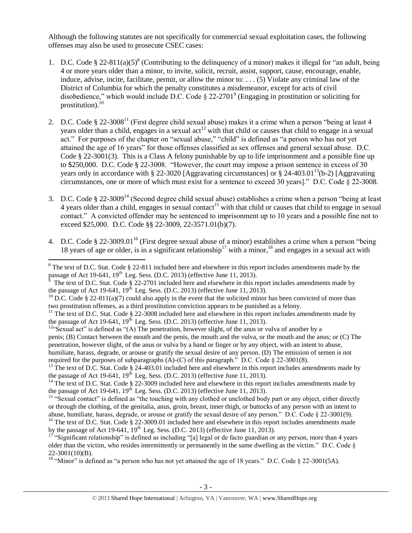Although the following statutes are not specifically for commercial sexual exploitation cases, the following offenses may also be used to prosecute CSEC cases:

- <span id="page-2-1"></span>1. D.C. Code § 22-811(a)(5)<sup>8</sup> (Contributing to the delinquency of a minor) makes it illegal for "an adult, being 4 or more years older than a minor, to invite, solicit, recruit, assist, support, cause, encourage, enable, induce, advise, incite, facilitate, permit, or allow the minor to: . . . (5) Violate any criminal law of the District of Columbia for which the penalty constitutes a misdemeanor, except for acts of civil disobedience," which would include D.C. Code § 22-2701<sup>9</sup> (Engaging in prostitution or soliciting for prostitution). $^{10}$
- <span id="page-2-2"></span><span id="page-2-0"></span>2. D.C. Code § 22-3008<sup>11</sup> (First degree child sexual abuse) makes it a crime when a person "being at least 4 years older than a child, engages in a sexual act<sup>12</sup> with that child or causes that child to engage in a sexual act." For purposes of the chapter on "sexual abuse," "child" is defined as "a person who has not yet attained the age of 16 years" for those offenses classified as sex offenses and general sexual abuse. D.C. Code § 22-3001(3). This is a Class A felony punishable by up to life imprisonment and a possible fine up to \$250,000. D.C. Code § 22-3008. "However, the court may impose a prison sentence in excess of 30 years only in accordance with § 22-3020 [Aggravating circumstances] or § 24-403.01<sup>13</sup>(b-2) [Aggravating circumstances, one or more of which must exist for a sentence to exceed 30 years]." D.C. Code § 22-3008.
- 3. D.C. Code § 22-3009<sup>14</sup> (Second degree child sexual abuse) establishes a crime when a person "being at least 4 years older than a child, engages in sexual contact<sup>15</sup> with that child or causes that child to engage in sexual contact." A convicted offender may be sentenced to imprisonment up to 10 years and a possible fine not to exceed \$25,000. D.C. Code §§ 22-3009, 22-3571.01(b)(7).
- 4. D.C. Code § 22-3009.01<sup>16</sup> (First degree sexual abuse of a minor) establishes a crime when a person "being 18 years of age or older, is in a significant relationship<sup>17</sup> with a minor,<sup>18</sup> and engages in a sexual act with

 $\overline{a}$  $8$  The text of D.C. Stat. Code  $\S$  22-811 included here and elsewhere in this report includes amendments made by the passage of Act 19-641, 19<sup>th</sup> Leg. Sess. (D.C. 2013) (effective June 11, 2013).<br><sup>9</sup> The text of D.C. Stat. Code § 22-2701 included here and elsewhere in this report includes amendments made by

the passage of Act 19-641,  $19<sup>th</sup>$  Leg. Sess. (D.C. 2013) (effective June 11, 2013).

<sup>&</sup>lt;sup>10</sup> D.C. Code § 22-811(a)(7) could also apply in the event that the solicited minor has been convicted of more than two prostitution offenses, as a third prostitution conviction appears to be punished as a felony.

 $11$  The text of D.C. Stat. Code § 22-3008 included here and elsewhere in this report includes amendments made by the passage of Act 19-641,  $19^{th}$  Leg. Sess. (D.C. 2013) (effective June 11, 2013).

 $12$ "Sexual act" is defined as "(A) The penetration, however slight, of the anus or vulva of another by a

penis; (B) Contact between the mouth and the penis, the mouth and the vulva, or the mouth and the anus; or (C) The penetration, however slight, of the anus or vulva by a hand or finger or by any object, with an intent to abuse,

humiliate, harass, degrade, or arouse or gratify the sexual desire of any person. (D) The emission of semen is not required for the purposes of subparagraphs (A)-(C) of this paragraph." D.C. Code  $\S$  22-3001(8).

<sup>&</sup>lt;sup>13</sup> The text of D.C. Stat. Code § 24-403.01 included here and elsewhere in this report includes amendments made by the passage of Act 19-641,  $19<sup>th</sup>$  Leg. Sess. (D.C. 2013) (effective June 11, 2013).

<sup>&</sup>lt;sup>14</sup> The text of D.C. Stat. Code  $\S$  22-3009 included here and elsewhere in this report includes amendments made by the passage of Act 19-641,  $19^{th}$  Leg. Sess. (D.C. 2013) (effective June 11, 2013).

<sup>&</sup>lt;sup>15</sup> "Sexual contact" is defined as "the touching with any clothed or unclothed body part or any object, either directly or through the clothing, of the genitalia, anus, groin, breast, inner thigh, or buttocks of any person with an intent to abuse, humiliate, harass, degrade, or arouse or gratify the sexual desire of any person." D.C. Code § 22-3001(9).

<sup>&</sup>lt;sup>16</sup> The text of D.C. Stat. Code § 22-3009.01 included here and elsewhere in this report includes amendments made by the passage of Act 19-641,  $19<sup>th</sup>$  Leg. Sess. (D.C. 2013) (effective June 11, 2013).

<sup>&</sup>lt;sup>17</sup> "Significant relationship" is defined as including "[a] legal or de facto guardian or any person, more than 4 years older than the victim, who resides intermittently or permanently in the same dwelling as the victim." D.C. Code  $\S$ 22-3001(10)(B).

<sup>&</sup>lt;sup>18</sup> "Minor" is defined as "a person who has not yet attained the age of 18 years." D.C. Code  $\S$  22-3001(5A).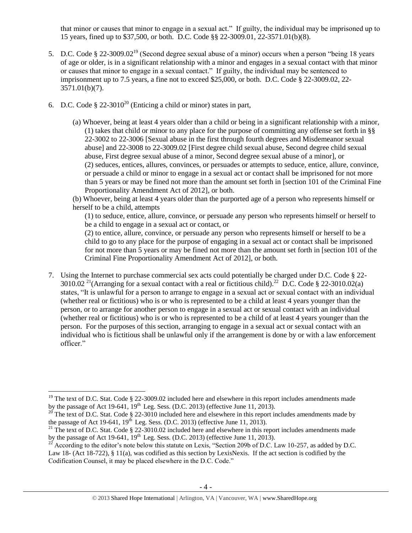that minor or causes that minor to engage in a sexual act." If guilty, the individual may be imprisoned up to 15 years, fined up to \$37,500, or both. D.C. Code §§ 22-3009.01, 22-3571.01(b)(8).

- 5. D.C. Code § 22-3009.02<sup>19</sup> (Second degree sexual abuse of a minor) occurs when a person "being 18 years of age or older, is in a significant relationship with a minor and engages in a sexual contact with that minor or causes that minor to engage in a sexual contact." If guilty, the individual may be sentenced to imprisonment up to 7.5 years, a fine not to exceed \$25,000, or both. D.C. Code § 22-3009.02, 22- 3571.01(b)(7).
- <span id="page-3-1"></span><span id="page-3-0"></span>6. D.C. Code  $\S 22-3010^{20}$  (Enticing a child or minor) states in part,
	- (a) Whoever, being at least 4 years older than a child or being in a significant relationship with a minor, (1) takes that child or minor to any place for the purpose of committing any offense set forth in §§ 22-3002 to 22-3006 [Sexual abuse in the first through fourth degrees and Misdemeanor sexual abuse] and 22-3008 to 22-3009.02 [First degree child sexual abuse, Second degree child sexual abuse, First degree sexual abuse of a minor, Second degree sexual abuse of a minor], or (2) seduces, entices, allures, convinces, or persuades or attempts to seduce, entice, allure, convince, or persuade a child or minor to engage in a sexual act or contact shall be imprisoned for not more than 5 years or may be fined not more than the amount set forth in [section 101 of the Criminal Fine Proportionality Amendment Act of 2012], or both.

(b) Whoever, being at least 4 years older than the purported age of a person who represents himself or herself to be a child, attempts

(1) to seduce, entice, allure, convince, or persuade any person who represents himself or herself to be a child to engage in a sexual act or contact, or

(2) to entice, allure, convince, or persuade any person who represents himself or herself to be a child to go to any place for the purpose of engaging in a sexual act or contact shall be imprisoned for not more than 5 years or may be fined not more than the amount set forth in [section 101 of the Criminal Fine Proportionality Amendment Act of 2012], or both.

<span id="page-3-2"></span>7. Using the Internet to purchase commercial sex acts could potentially be charged under D.C. Code § 22- 3010.02<sup>21</sup>(Arranging for a sexual contact with a real or fictitious child).<sup>22</sup> D.C. Code § 22-3010.02(a) states, "It is unlawful for a person to arrange to engage in a sexual act or sexual contact with an individual (whether real or fictitious) who is or who is represented to be a child at least 4 years younger than the person, or to arrange for another person to engage in a sexual act or sexual contact with an individual (whether real or fictitious) who is or who is represented to be a child of at least 4 years younger than the person. For the purposes of this section, arranging to engage in a sexual act or sexual contact with an individual who is fictitious shall be unlawful only if the arrangement is done by or with a law enforcement officer."

l <sup>19</sup> The text of D.C. Stat. Code § 22-3009.02 included here and elsewhere in this report includes amendments made by the passage of Act 19-641,  $19<sup>th</sup>$  Leg. Sess. (D.C. 2013) (effective June 11, 2013).

<sup>&</sup>lt;sup>20</sup> The text of D.C. Stat. Code § 22-3010 included here and elsewhere in this report includes amendments made by the passage of Act 19-641,  $19<sup>th</sup>$  Leg. Sess. (D.C. 2013) (effective June 11, 2013).

<sup>&</sup>lt;sup>21</sup> The text of D.C. Stat. Code  $\S 22-3010.02$  included here and elsewhere in this report includes amendments made by the passage of Act 19-641,  $19<sup>th</sup>$  Leg. Sess. (D.C. 2013) (effective June 11, 2013).

 $^{22}$  According to the editor's note below this statute on Lexis, "Section 209b of D.C. Law 10-257, as added by D.C. Law 18- (Act 18-722), § 11(a), was codified as this section by LexisNexis. If the act section is codified by the Codification Counsel, it may be placed elsewhere in the D.C. Code."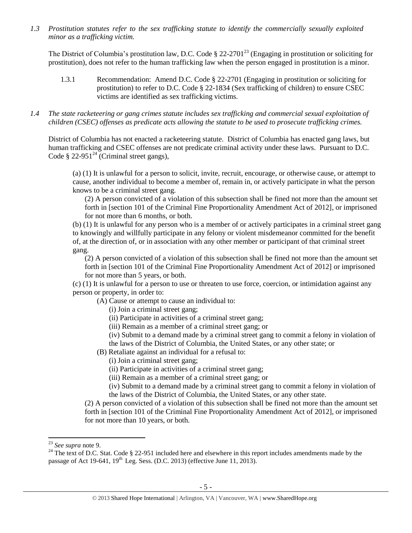*1.3 Prostitution statutes refer to the sex trafficking statute to identify the commercially sexually exploited minor as a trafficking victim.* 

The District of Columbia's prostitution law, D.C. Code  $\S$  22-2701<sup>23</sup> (Engaging in prostitution or soliciting for prostitution), does not refer to the human trafficking law when the person engaged in prostitution is a minor.

- 1.3.1 Recommendation: Amend D.C. Code § 22-2701 (Engaging in prostitution or soliciting for prostitution) to refer to D.C. Code § 22-1834 (Sex trafficking of children) to ensure CSEC victims are identified as sex trafficking victims.
- *1.4 The state racketeering or gang crimes statute includes sex trafficking and commercial sexual exploitation of children (CSEC) offenses as predicate acts allowing the statute to be used to prosecute trafficking crimes.*

District of Columbia has not enacted a racketeering statute. District of Columbia has enacted gang laws, but human trafficking and CSEC offenses are not predicate criminal activity under these laws. Pursuant to D.C. Code § 22-951<sup>24</sup> (Criminal street gangs),

(a) (1) It is unlawful for a person to solicit, invite, recruit, encourage, or otherwise cause, or attempt to cause, another individual to become a member of, remain in, or actively participate in what the person knows to be a criminal street gang.

(2) A person convicted of a violation of this subsection shall be fined not more than the amount set forth in [section 101 of the Criminal Fine Proportionality Amendment Act of 2012], or imprisoned for not more than 6 months, or both.

(b) (1) It is unlawful for any person who is a member of or actively participates in a criminal street gang to knowingly and willfully participate in any felony or violent misdemeanor committed for the benefit of, at the direction of, or in association with any other member or participant of that criminal street gang.

(2) A person convicted of a violation of this subsection shall be fined not more than the amount set forth in [section 101 of the Criminal Fine Proportionality Amendment Act of 2012] or imprisoned for not more than 5 years, or both.

(c) (1) It is unlawful for a person to use or threaten to use force, coercion, or intimidation against any person or property, in order to:

(A) Cause or attempt to cause an individual to:

- (i) Join a criminal street gang;
- (ii) Participate in activities of a criminal street gang;
- (iii) Remain as a member of a criminal street gang; or
- (iv) Submit to a demand made by a criminal street gang to commit a felony in violation of
- the laws of the District of Columbia, the United States, or any other state; or
- (B) Retaliate against an individual for a refusal to:
	- (i) Join a criminal street gang;
	- (ii) Participate in activities of a criminal street gang;
	- (iii) Remain as a member of a criminal street gang; or
	- (iv) Submit to a demand made by a criminal street gang to commit a felony in violation of the laws of the District of Columbia, the United States, or any other state.

(2) A person convicted of a violation of this subsection shall be fined not more than the amount set forth in [section 101 of the Criminal Fine Proportionality Amendment Act of 2012], or imprisoned for not more than 10 years, or both.

l

<sup>23</sup> *See supra* note [9.](#page-2-0)

<sup>&</sup>lt;sup>24</sup> The text of D.C. Stat. Code § 22-951 included here and elsewhere in this report includes amendments made by the passage of Act 19-641,  $19<sup>th</sup>$  Leg. Sess. (D.C. 2013) (effective June 11, 2013).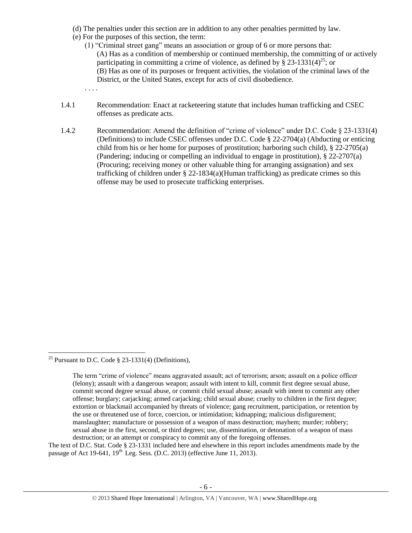- (d) The penalties under this section are in addition to any other penalties permitted by law.
- (e) For the purposes of this section, the term:

. . . .

- (1) "Criminal street gang" means an association or group of 6 or more persons that: (A) Has as a condition of membership or continued membership, the committing of or actively participating in committing a crime of violence, as defined by  $\S$  23-1331(4)<sup>25</sup>; or (B) Has as one of its purposes or frequent activities, the violation of the criminal laws of the District, or the United States, except for acts of civil disobedience.
- 1.4.1 Recommendation: Enact at racketeering statute that includes human trafficking and CSEC offenses as predicate acts.
- 1.4.2 Recommendation: Amend the definition of "crime of violence" under D.C. Code § 23-1331(4) (Definitions) to include CSEC offenses under D.C. Code § 22-2704(a) (Abducting or enticing child from his or her home for purposes of prostitution; harboring such child), § 22-2705(a) (Pandering; inducing or compelling an individual to engage in prostitution), § 22-2707(a) (Procuring; receiving money or other valuable thing for arranging assignation) and sex trafficking of children under  $\S$  22-1834(a)(Human trafficking) as predicate crimes so this offense may be used to prosecute trafficking enterprises.

 $\overline{a}$ 

The text of D.C. Stat. Code § 23-1331 included here and elsewhere in this report includes amendments made by the passage of Act 19-641,  $19<sup>th</sup>$  Leg. Sess. (D.C. 2013) (effective June 11, 2013).

<sup>&</sup>lt;sup>25</sup> Pursuant to D.C. Code  $\S$  23-1331(4) (Definitions),

The term "crime of violence" means aggravated assault; act of terrorism; arson; assault on a police officer (felony); assault with a dangerous weapon; assault with intent to kill, commit first degree sexual abuse, commit second degree sexual abuse, or commit child sexual abuse; assault with intent to commit any other offense; burglary; carjacking; armed carjacking; child sexual abuse; cruelty to children in the first degree; extortion or blackmail accompanied by threats of violence; gang recruitment, participation, or retention by the use or threatened use of force, coercion, or intimidation; kidnapping; malicious disfigurement; manslaughter; manufacture or possession of a weapon of mass destruction; mayhem; murder; robbery; sexual abuse in the first, second, or third degrees; use, dissemination, or detonation of a weapon of mass destruction; or an attempt or conspiracy to commit any of the foregoing offenses.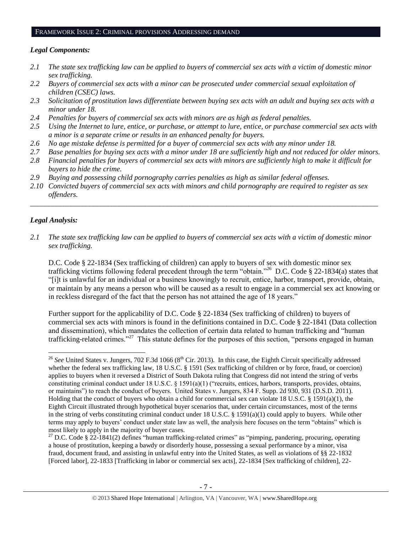#### FRAMEWORK ISSUE 2: CRIMINAL PROVISIONS ADDRESSING DEMAND

### *Legal Components:*

- *2.1 The state sex trafficking law can be applied to buyers of commercial sex acts with a victim of domestic minor sex trafficking.*
- *2.2 Buyers of commercial sex acts with a minor can be prosecuted under commercial sexual exploitation of children (CSEC) laws.*
- *2.3 Solicitation of prostitution laws differentiate between buying sex acts with an adult and buying sex acts with a minor under 18.*
- *2.4 Penalties for buyers of commercial sex acts with minors are as high as federal penalties.*
- *2.5 Using the Internet to lure, entice, or purchase, or attempt to lure, entice, or purchase commercial sex acts with a minor is a separate crime or results in an enhanced penalty for buyers.*
- *2.6 No age mistake defense is permitted for a buyer of commercial sex acts with any minor under 18.*
- *2.7 Base penalties for buying sex acts with a minor under 18 are sufficiently high and not reduced for older minors.*
- *2.8 Financial penalties for buyers of commercial sex acts with minors are sufficiently high to make it difficult for buyers to hide the crime.*
- *2.9 Buying and possessing child pornography carries penalties as high as similar federal offenses.*
- *2.10 Convicted buyers of commercial sex acts with minors and child pornography are required to register as sex offenders.*

\_\_\_\_\_\_\_\_\_\_\_\_\_\_\_\_\_\_\_\_\_\_\_\_\_\_\_\_\_\_\_\_\_\_\_\_\_\_\_\_\_\_\_\_\_\_\_\_\_\_\_\_\_\_\_\_\_\_\_\_\_\_\_\_\_\_\_\_\_\_\_\_\_\_\_\_\_\_\_\_\_\_\_\_\_\_\_\_\_\_\_\_\_\_

### *Legal Analysis:*

*2.1 The state sex trafficking law can be applied to buyers of commercial sex acts with a victim of domestic minor sex trafficking.* 

D.C. Code § 22-1834 (Sex trafficking of children) can apply to buyers of sex with domestic minor sex trafficking victims following federal precedent through the term "obtain."<sup>26</sup> D.C. Code § 22-1834(a) states that "[i]t is unlawful for an individual or a business knowingly to recruit, entice, harbor, transport, provide, obtain, or maintain by any means a person who will be caused as a result to engage in a commercial sex act knowing or in reckless disregard of the fact that the person has not attained the age of 18 years."

Further support for the applicability of D.C. Code § 22-1834 (Sex trafficking of children) to buyers of commercial sex acts with minors is found in the definitions contained in D.C. Code § 22-1841 (Data collection and dissemination), which mandates the collection of certain data related to human trafficking and "human trafficking-related crimes."<sup>27</sup> This statute defines for the purposes of this section, "persons engaged in human

 $\overline{a}$ <sup>26</sup> See United States v. Jungers, 702 F.3d 1066 (8<sup>th</sup> Cir. 2013). In this case, the Eighth Circuit specifically addressed whether the federal sex trafficking law, 18 U.S.C. § 1591 (Sex trafficking of children or by force, fraud, or coercion) applies to buyers when it reversed a District of South Dakota ruling that Congress did not intend the string of verbs constituting criminal conduct under 18 U.S.C. § 1591(a)(1) ("recruits, entices, harbors, transports, provides, obtains, or maintains") to reach the conduct of buyers. United States v. Jungers, 834 F. Supp. 2d 930, 931 (D.S.D. 2011). Holding that the conduct of buyers who obtain a child for commercial sex can violate 18 U.S.C. § 1591(a)(1), the Eighth Circuit illustrated through hypothetical buyer scenarios that, under certain circumstances, most of the terms in the string of verbs constituting criminal conduct under 18 U.S.C. § 1591(a)(1) could apply to buyers. While other terms may apply to buyers' conduct under state law as well, the analysis here focuses on the term "obtains" which is most likely to apply in the majority of buyer cases.

 $27$  D.C. Code § 22-1841(2) defines "human trafficking-related crimes" as "pimping, pandering, procuring, operating a house of prostitution, keeping a bawdy or disorderly house, possessing a sexual performance by a minor, visa fraud, document fraud, and assisting in unlawful entry into the United States, as well as violations of §§ 22-1832 [Forced labor], 22-1833 [Trafficking in labor or commercial sex acts], 22-1834 [Sex trafficking of children], 22-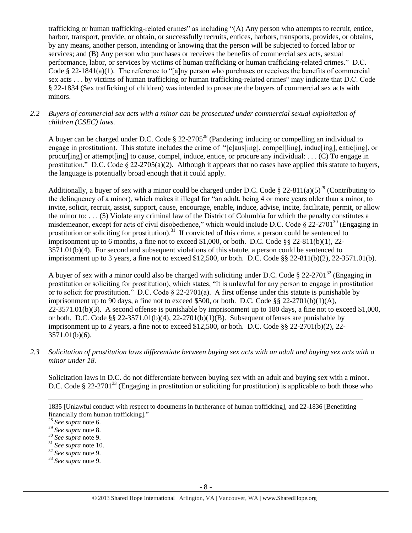trafficking or human trafficking-related crimes" as including "(A) Any person who attempts to recruit, entice, harbor, transport, provide, or obtain, or successfully recruits, entices, harbors, transports, provides, or obtains, by any means, another person, intending or knowing that the person will be subjected to forced labor or services; and (B) Any person who purchases or receives the benefits of commercial sex acts, sexual performance, labor, or services by victims of human trafficking or human trafficking-related crimes." D.C. Code § 22-1841(a)(1). The reference to "[a]ny person who purchases or receives the benefits of commercial sex acts . . . by victims of human trafficking or human trafficking-related crimes" may indicate that D.C. Code § 22-1834 (Sex trafficking of children) was intended to prosecute the buyers of commercial sex acts with minors.

### *2.2 Buyers of commercial sex acts with a minor can be prosecuted under commercial sexual exploitation of children (CSEC) laws.*

A buyer can be charged under D.C. Code  $\S 22{\text -}2705^{28}$  (Pandering; inducing or compelling an individual to engage in prostitution). This statute includes the crime of "[c]aus[ing], compel[ling], induc[ing], entic[ing], or procurling] or attempt [ing] to cause, compel, induce, entice, or procure any individual: . . . (C) To engage in prostitution." D.C. Code  $\S 22-2705(a)(2)$ . Although it appears that no cases have applied this statute to buyers, the language is potentially broad enough that it could apply.

Additionally, a buyer of sex with a minor could be charged under D.C. Code § 22-811(a)(5)<sup>29</sup> (Contributing to the delinquency of a minor), which makes it illegal for "an adult, being 4 or more years older than a minor, to invite, solicit, recruit, assist, support, cause, encourage, enable, induce, advise, incite, facilitate, permit, or allow the minor to: . . . (5) Violate any criminal law of the District of Columbia for which the penalty constitutes a misdemeanor, except for acts of civil disobedience," which would include D.C. Code § 22-2701<sup>30</sup> (Engaging in prostitution or soliciting for prostitution).<sup>31</sup> If convicted of this crime, a person could be sentenced to imprisonment up to 6 months, a fine not to exceed \$1,000, or both. D.C. Code  $\S$ § 22-811(b)(1), 22-3571.01(b)(4). For second and subsequent violations of this statute, a person could be sentenced to imprisonment up to 3 years, a fine not to exceed \$12,500, or both. D.C. Code §§ 22-811(b)(2), 22-3571.01(b).

A buyer of sex with a minor could also be charged with soliciting under D.C. Code § 22-2701<sup>32</sup> (Engaging in prostitution or soliciting for prostitution), which states, "It is unlawful for any person to engage in prostitution or to solicit for prostitution." D.C. Code § 22-2701(a). A first offense under this statute is punishable by imprisonment up to 90 days, a fine not to exceed \$500, or both. D.C. Code  $\S$ § 22-2701(b)(1)(A),  $22-3571.01(b)(3)$ . A second offense is punishable by imprisonment up to 180 days, a fine not to exceed \$1,000, or both. D.C. Code §§ 22-3571.01(b)(4), 22-2701(b)(1)(B). Subsequent offenses are punishable by imprisonment up to 2 years, a fine not to exceed \$12,500, or both. D.C. Code  $\S$ § 22-2701(b)(2), 22-3571.01(b)(6).

*2.3 Solicitation of prostitution laws differentiate between buying sex acts with an adult and buying sex acts with a minor under 18.*

Solicitation laws in D.C. do not differentiate between buying sex with an adult and buying sex with a minor. D.C. Code § 22-2701<sup>33</sup> (Engaging in prostitution or soliciting for prostitution) is applicable to both those who

 $\overline{a}$ 

<sup>31</sup> *See supra* note [10.](#page-2-2)

<sup>33</sup> *See supra* note [9.](#page-2-0)

<sup>1835 [</sup>Unlawful conduct with respect to documents in furtherance of human trafficking], and 22-1836 [Benefitting financially from human trafficking]."

<sup>28</sup> *See supra* note [6.](#page-3-0)

<sup>29</sup> *See supra* note [8.](#page-2-1)

<sup>30</sup> *See supra* note [9.](#page-2-0)

<sup>32</sup> *See supra* note [9.](#page-2-0)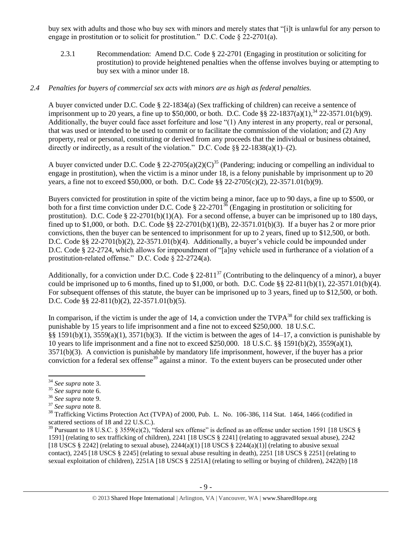buy sex with adults and those who buy sex with minors and merely states that "[i]t is unlawful for any person to engage in prostitution or to solicit for prostitution." D.C. Code § 22-2701(a).

2.3.1 Recommendation: Amend D.C. Code § 22-2701 (Engaging in prostitution or soliciting for prostitution) to provide heightened penalties when the offense involves buying or attempting to buy sex with a minor under 18.

### *2.4 Penalties for buyers of commercial sex acts with minors are as high as federal penalties.*

A buyer convicted under D.C. Code § 22-1834(a) (Sex trafficking of children) can receive a sentence of imprisonment up to 20 years, a fine up to \$50,000, or both. D.C. Code §§ 22-1837(a)(1),<sup>34</sup> 22-3571.01(b)(9). Additionally, the buyer could face asset forfeiture and lose "(1) Any interest in any property, real or personal, that was used or intended to be used to commit or to facilitate the commission of the violation; and (2) Any property, real or personal, constituting or derived from any proceeds that the individual or business obtained, directly or indirectly, as a result of the violation." D.C. Code  $\S$ § 22-1838(a)(1)–(2).

A buyer convicted under D.C. Code § 22-2705(a)(2)(C)<sup>35</sup> (Pandering; inducing or compelling an individual to engage in prostitution), when the victim is a minor under 18, is a felony punishable by imprisonment up to 20 years, a fine not to exceed \$50,000, or both. D.C. Code §§ 22-2705(c)(2), 22-3571.01(b)(9).

Buyers convicted for prostitution in spite of the victim being a minor, face up to 90 days, a fine up to \$500, or both for a first time conviction under D.C. Code  $\S 22-2701^{36}$  (Engaging in prostitution or soliciting for prostitution). D.C. Code  $\S 22-2701(b)(1)(A)$ . For a second offense, a buyer can be imprisoned up to 180 days, fined up to \$1,000, or both. D.C. Code §§ 22-2701(b)(1)(B), 22-3571.01(b)(3). If a buyer has 2 or more prior convictions, then the buyer can be sentenced to imprisonment for up to 2 years, fined up to \$12,500, or both. D.C. Code §§ 22-2701(b)(2), 22-3571.01(b)(4). Additionally, a buyer's vehicle could be impounded under D.C. Code § 22-2724, which allows for impoundment of "[a]ny vehicle used in furtherance of a violation of a prostitution-related offense." D.C. Code § 22-2724(a).

Additionally, for a conviction under D.C. Code  $\S 22-811^{37}$  (Contributing to the delinquency of a minor), a buyer could be imprisoned up to 6 months, fined up to \$1,000, or both. D.C. Code  $\S$ § 22-811(b)(1), 22-3571.01(b)(4). For subsequent offenses of this statute, the buyer can be imprisoned up to 3 years, fined up to \$12,500, or both. D.C. Code §§ 22-811(b)(2), 22-3571.01(b)(5).

<span id="page-8-0"></span>In comparison, if the victim is under the age of 14, a conviction under the  $TVPA^{38}$  for child sex trafficking is punishable by 15 years to life imprisonment and a fine not to exceed \$250,000. 18 U.S.C. §§ 1591(b)(1), 3559(a)(1), 3571(b)(3). If the victim is between the ages of 14–17, a conviction is punishable by 10 years to life imprisonment and a fine not to exceed \$250,000. 18 U.S.C. §§ 1591(b)(2), 3559(a)(1), 3571(b)(3). A conviction is punishable by mandatory life imprisonment, however, if the buyer has a prior conviction for a federal sex offense<sup>39</sup> against a minor. To the extent buyers can be prosecuted under other

<span id="page-8-1"></span> $\overline{a}$ 

<sup>34</sup> *See supra* note [3.](#page-1-0)

<sup>35</sup> *See supra* note [6.](#page-1-1)

<sup>36</sup> *See supra* note [9.](#page-2-0)

<sup>37</sup> *See supra* note [8.](#page-2-1)

<sup>&</sup>lt;sup>38</sup> Trafficking Victims Protection Act (TVPA) of 2000, Pub. L. No. 106-386, 114 Stat. 1464, 1466 (codified in scattered sections of 18 and 22 U.S.C.).

<sup>&</sup>lt;sup>39</sup> Pursuant to 18 U.S.C. § 3559(e)(2), "federal sex offense" is defined as an offense under section 1591 [18 USCS § 1591] (relating to sex trafficking of children), 2241 [18 USCS § 2241] (relating to aggravated sexual abuse), 2242 [18 USCS § 2242] (relating to sexual abuse),  $2244(a)(1)$  [18 USCS § 2244(a)(1)] (relating to abusive sexual contact), 2245 [18 USCS § 2245] (relating to sexual abuse resulting in death), 2251 [18 USCS § 2251] (relating to sexual exploitation of children), 2251A [18 USCS § 2251A] (relating to selling or buying of children), 2422(b) [18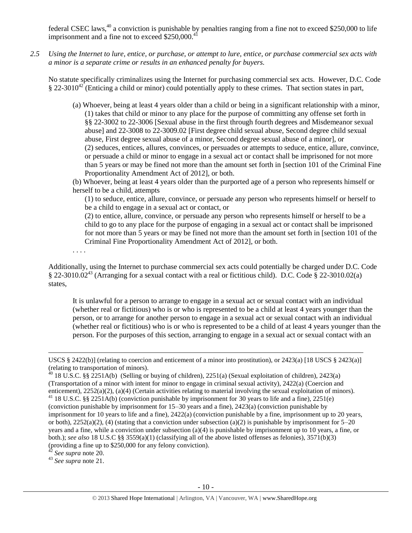federal CSEC laws,<sup>40</sup> a conviction is punishable by penalties ranging from a fine not to exceed \$250,000 to life imprisonment and a fine not to exceed  $$250,000.<sup>4</sup>$ 

*2.5 Using the Internet to lure, entice, or purchase, or attempt to lure, entice, or purchase commercial sex acts with a minor is a separate crime or results in an enhanced penalty for buyers.*

No statute specifically criminalizes using the Internet for purchasing commercial sex acts. However, D.C. Code  $\S 22-3010^{42}$  (Enticing a child or minor) could potentially apply to these crimes. That section states in part,

- (a) Whoever, being at least 4 years older than a child or being in a significant relationship with a minor, (1) takes that child or minor to any place for the purpose of committing any offense set forth in §§ 22-3002 to 22-3006 [Sexual abuse in the first through fourth degrees and Misdemeanor sexual abuse] and 22-3008 to 22-3009.02 [First degree child sexual abuse, Second degree child sexual abuse, First degree sexual abuse of a minor, Second degree sexual abuse of a minor], or (2) seduces, entices, allures, convinces, or persuades or attempts to seduce, entice, allure, convince, or persuade a child or minor to engage in a sexual act or contact shall be imprisoned for not more than 5 years or may be fined not more than the amount set forth in [section 101 of the Criminal Fine Proportionality Amendment Act of 2012], or both.
- (b) Whoever, being at least 4 years older than the purported age of a person who represents himself or herself to be a child, attempts

(1) to seduce, entice, allure, convince, or persuade any person who represents himself or herself to be a child to engage in a sexual act or contact, or

(2) to entice, allure, convince, or persuade any person who represents himself or herself to be a child to go to any place for the purpose of engaging in a sexual act or contact shall be imprisoned for not more than 5 years or may be fined not more than the amount set forth in [section 101 of the Criminal Fine Proportionality Amendment Act of 2012], or both.

. . . .

Additionally, using the Internet to purchase commercial sex acts could potentially be charged under D.C. Code § 22-3010.02<sup>43</sup> (Arranging for a sexual contact with a real or fictitious child). D.C. Code § 22-3010.02(a) states,

It is unlawful for a person to arrange to engage in a sexual act or sexual contact with an individual (whether real or fictitious) who is or who is represented to be a child at least 4 years younger than the person, or to arrange for another person to engage in a sexual act or sexual contact with an individual (whether real or fictitious) who is or who is represented to be a child of at least 4 years younger than the person. For the purposes of this section, arranging to engage in a sexual act or sexual contact with an

<sup>42</sup> *See supra* note [20.](#page-3-1)

 $\overline{a}$ 

<sup>43</sup> *See supra* note [21.](#page-3-2)

USCS § 2422(b)] (relating to coercion and enticement of a minor into prostitution), or 2423(a) [18 USCS § 2423(a)] (relating to transportation of minors).

<sup>&</sup>lt;sup>40</sup> 18 U.S.C. §§ 2251A(b) (Selling or buying of children), 2251(a) (Sexual exploitation of children), 2423(a) (Transportation of a minor with intent for minor to engage in criminal sexual activity), 2422(a) (Coercion and enticement), 2252(a)(2), (a)(4) (Certain activities relating to material involving the sexual exploitation of minors).

<sup>&</sup>lt;sup>41</sup> 18 U.S.C. §§ 2251A(b) (conviction punishable by imprisonment for 30 years to life and a fine), 2251(e) (conviction punishable by imprisonment for 15–30 years and a fine), 2423(a) (conviction punishable by imprisonment for 10 years to life and a fine), 2422(a) (conviction punishable by a fine, imprisonment up to 20 years, or both),  $2252(a)(2)$ , (4) (stating that a conviction under subsection (a)(2) is punishable by imprisonment for  $5-20$ years and a fine, while a conviction under subsection (a)(4) is punishable by imprisonment up to 10 years, a fine, or both.); *see also* 18 U.S.C §§ 3559(a)(1) (classifying all of the above listed offenses as felonies), 3571(b)(3) (providing a fine up to \$250,000 for any felony conviction).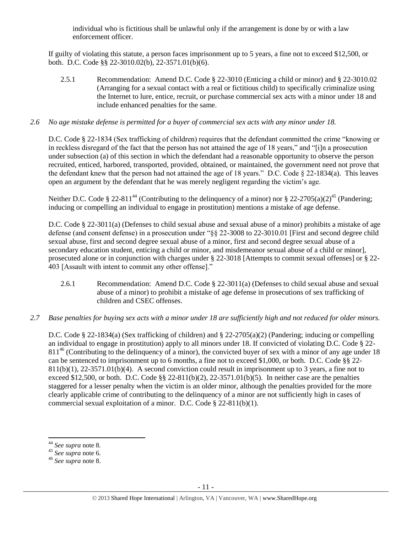individual who is fictitious shall be unlawful only if the arrangement is done by or with a law enforcement officer.

If guilty of violating this statute, a person faces imprisonment up to 5 years, a fine not to exceed \$12,500, or both. D.C. Code §§ 22-3010.02(b), 22-3571.01(b)(6).

2.5.1 Recommendation: Amend D.C. Code § 22-3010 (Enticing a child or minor) and § 22-3010.02 (Arranging for a sexual contact with a real or fictitious child) to specifically criminalize using the Internet to lure, entice, recruit, or purchase commercial sex acts with a minor under 18 and include enhanced penalties for the same.

### *2.6 No age mistake defense is permitted for a buyer of commercial sex acts with any minor under 18.*

D.C. Code § 22-1834 (Sex trafficking of children) requires that the defendant committed the crime "knowing or in reckless disregard of the fact that the person has not attained the age of 18 years," and "[i]n a prosecution under subsection (a) of this section in which the defendant had a reasonable opportunity to observe the person recruited, enticed, harbored, transported, provided, obtained, or maintained, the government need not prove that the defendant knew that the person had not attained the age of 18 years." D.C. Code  $\S$  22-1834(a). This leaves open an argument by the defendant that he was merely negligent regarding the victim's age.

Neither D.C. Code § 22-811<sup>44</sup> (Contributing to the delinquency of a minor) nor § 22-2705(a)(2)<sup>45</sup> (Pandering; inducing or compelling an individual to engage in prostitution) mentions a mistake of age defense.

D.C. Code § 22-3011(a) (Defenses to child sexual abuse and sexual abuse of a minor) prohibits a mistake of age defense (and consent defense) in a prosecution under "§§ 22-3008 to 22-3010.01 [First and second degree child sexual abuse, first and second degree sexual abuse of a minor, first and second degree sexual abuse of a secondary education student, enticing a child or minor, and misdemeanor sexual abuse of a child or minor], prosecuted alone or in conjunction with charges under § 22-3018 [Attempts to commit sexual offenses] or § 22- 403 [Assault with intent to commit any other offense]."

- 2.6.1 Recommendation: Amend D.C. Code § 22-3011(a) (Defenses to child sexual abuse and sexual abuse of a minor) to prohibit a mistake of age defense in prosecutions of sex trafficking of children and CSEC offenses.
- *2.7 Base penalties for buying sex acts with a minor under 18 are sufficiently high and not reduced for older minors.*

D.C. Code § 22-1834(a) (Sex trafficking of children) and § 22-2705(a)(2) (Pandering; inducing or compelling an individual to engage in prostitution) apply to all minors under 18. If convicted of violating D.C. Code § 22- 811<sup>46</sup> (Contributing to the delinquency of a minor), the convicted buyer of sex with a minor of any age under 18 can be sentenced to imprisonment up to 6 months, a fine not to exceed \$1,000, or both. D.C. Code §§ 22-  $811(b)(1)$ ,  $22-3571.01(b)(4)$ . A second conviction could result in imprisonment up to 3 years, a fine not to exceed \$12,500, or both. D.C. Code  $\S$  22-811(b)(2), 22-3571.01(b)(5). In neither case are the penalties staggered for a lesser penalty when the victim is an older minor, although the penalties provided for the more clearly applicable crime of contributing to the delinquency of a minor are not sufficiently high in cases of commercial sexual exploitation of a minor. D.C. Code § 22-811(b)(1).

l

<sup>44</sup> *See supra* note [8.](#page-2-1)

<sup>45</sup> *See supra* note [6.](#page-1-1)

<sup>46</sup> *See supra* note [8.](#page-2-1)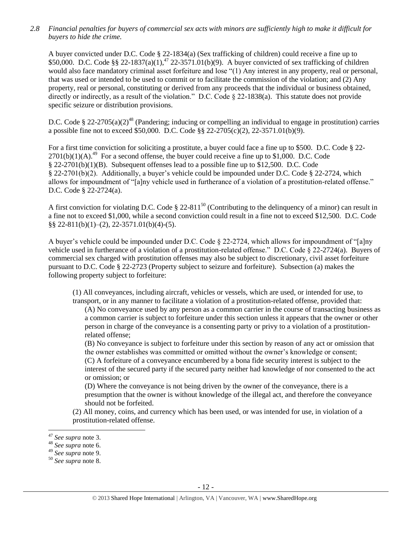*2.8 Financial penalties for buyers of commercial sex acts with minors are sufficiently high to make it difficult for buyers to hide the crime.*

A buyer convicted under D.C. Code § 22-1834(a) (Sex trafficking of children) could receive a fine up to \$50,000. D.C. Code §§ 22-1837(a)(1),<sup>47</sup> 22-3571.01(b)(9). A buyer convicted of sex trafficking of children would also face mandatory criminal asset forfeiture and lose "(1) Any interest in any property, real or personal, that was used or intended to be used to commit or to facilitate the commission of the violation; and (2) Any property, real or personal, constituting or derived from any proceeds that the individual or business obtained, directly or indirectly, as a result of the violation." D.C. Code § 22-1838(a). This statute does not provide specific seizure or distribution provisions.

D.C. Code § 22-2705(a)(2)<sup>48</sup> (Pandering; inducing or compelling an individual to engage in prostitution) carries a possible fine not to exceed \$50,000. D.C. Code §§ 22-2705(c)(2), 22-3571.01(b)(9).

For a first time conviction for soliciting a prostitute, a buyer could face a fine up to \$500. D.C. Code § 22-  $2701(b)(1)(A).^{49}$  For a second offense, the buyer could receive a fine up to \$1,000. D.C. Code § 22-2701(b)(1)(B). Subsequent offenses lead to a possible fine up to \$12,500. D.C. Code § 22-2701(b)(2). Additionally, a buyer's vehicle could be impounded under D.C. Code § 22-2724, which allows for impoundment of "[a]ny vehicle used in furtherance of a violation of a prostitution-related offense." D.C. Code § 22-2724(a).

A first conviction for violating D.C. Code  $\S 22-811^{50}$  (Contributing to the delinquency of a minor) can result in a fine not to exceed \$1,000, while a second conviction could result in a fine not to exceed \$12,500. D.C. Code §§ 22-811(b)(1)–(2), 22-3571.01(b)(4)-(5).

A buyer's vehicle could be impounded under D.C. Code § 22-2724, which allows for impoundment of "[a]ny vehicle used in furtherance of a violation of a prostitution-related offense." D.C. Code § 22-2724(a). Buyers of commercial sex charged with prostitution offenses may also be subject to discretionary, civil asset forfeiture pursuant to D.C. Code § 22-2723 (Property subject to seizure and forfeiture). Subsection (a) makes the following property subject to forfeiture:

(1) All conveyances, including aircraft, vehicles or vessels, which are used, or intended for use, to transport, or in any manner to facilitate a violation of a prostitution-related offense, provided that:

(A) No conveyance used by any person as a common carrier in the course of transacting business as a common carrier is subject to forfeiture under this section unless it appears that the owner or other person in charge of the conveyance is a consenting party or privy to a violation of a prostitutionrelated offense;

(B) No conveyance is subject to forfeiture under this section by reason of any act or omission that the owner establishes was committed or omitted without the owner's knowledge or consent; (C) A forfeiture of a conveyance encumbered by a bona fide security interest is subject to the interest of the secured party if the secured party neither had knowledge of nor consented to the act or omission; or

(D) Where the conveyance is not being driven by the owner of the conveyance, there is a presumption that the owner is without knowledge of the illegal act, and therefore the conveyance should not be forfeited.

(2) All money, coins, and currency which has been used, or was intended for use, in violation of a prostitution-related offense.

 $\overline{a}$ 

<sup>47</sup> *See supra* note [3.](#page-1-0)

<sup>48</sup> *See supra* note [6.](#page-1-1)

<sup>49</sup> *See supra* note [9.](#page-2-0)

<sup>50</sup> *See supra* note [8.](#page-2-1)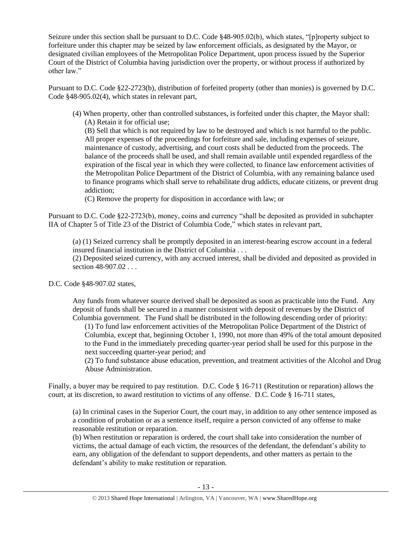Seizure under this section shall be pursuant to D.C. Code §48-905.02(b), which states, "[p]roperty subject to forfeiture under this chapter may be seized by law enforcement officials, as designated by the Mayor, or designated civilian employees of the Metropolitan Police Department, upon process issued by the Superior Court of the District of Columbia having jurisdiction over the property, or without process if authorized by other law."

Pursuant to D.C. Code §22-2723(b), distribution of forfeited property (other than monies) is governed by D.C. Code §48-905.02(4), which states in relevant part,

(4) When property, other than controlled substances, is forfeited under this chapter, the Mayor shall: (A) Retain it for official use;

(B) Sell that which is not required by law to be destroyed and which is not harmful to the public. All proper expenses of the proceedings for forfeiture and sale, including expenses of seizure, maintenance of custody, advertising, and court costs shall be deducted from the proceeds. The balance of the proceeds shall be used, and shall remain available until expended regardless of the expiration of the fiscal year in which they were collected, to finance law enforcement activities of the Metropolitan Police Department of the District of Columbia, with any remaining balance used to finance programs which shall serve to rehabilitate drug addicts, educate citizens, or prevent drug addiction;

(C) Remove the property for disposition in accordance with law; or

Pursuant to D.C. Code §22-2723(b), money, coins and currency "shall be deposited as provided in subchapter IIA of Chapter 5 of Title 23 of the District of Columbia Code," which states in relevant part,

(a) (1) Seized currency shall be promptly deposited in an interest-bearing escrow account in a federal insured financial institution in the District of Columbia . . .

(2) Deposited seized currency, with any accrued interest, shall be divided and deposited as provided in section 48-907.02 . . .

D.C. Code §48-907.02 states,

Any funds from whatever source derived shall be deposited as soon as practicable into the Fund. Any deposit of funds shall be secured in a manner consistent with deposit of revenues by the District of Columbia government. The Fund shall be distributed in the following descending order of priority:

(1) To fund law enforcement activities of the Metropolitan Police Department of the District of Columbia, except that, beginning October 1, 1990, not more than 49% of the total amount deposited to the Fund in the immediately preceding quarter-year period shall be used for this purpose in the next succeeding quarter-year period; and

(2) To fund substance abuse education, prevention, and treatment activities of the Alcohol and Drug Abuse Administration.

Finally, a buyer may be required to pay restitution. D.C. Code § 16-711 (Restitution or reparation) allows the court, at its discretion, to award restitution to victims of any offense. D.C. Code § 16-711 states,

(a) In criminal cases in the Superior Court, the court may, in addition to any other sentence imposed as a condition of probation or as a sentence itself, require a person convicted of any offense to make reasonable restitution or reparation.

(b) When restitution or reparation is ordered, the court shall take into consideration the number of victims, the actual damage of each victim, the resources of the defendant, the defendant's ability to earn, any obligation of the defendant to support dependents, and other matters as pertain to the defendant's ability to make restitution or reparation.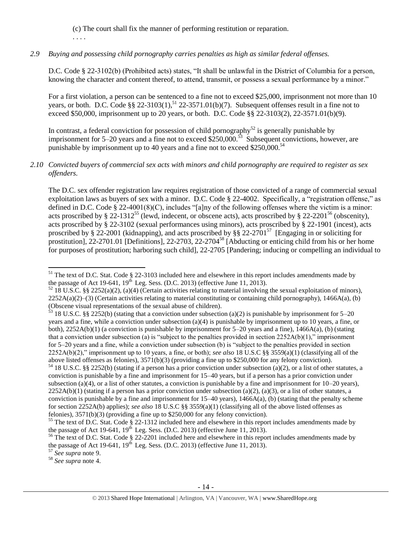(c) The court shall fix the manner of performing restitution or reparation.

<span id="page-13-0"></span>. . . .

### *2.9 Buying and possessing child pornography carries penalties as high as similar federal offenses.*

D.C. Code § 22-3102(b) (Prohibited acts) states, "It shall be unlawful in the District of Columbia for a person, knowing the character and content thereof, to attend, transmit, or possess a sexual performance by a minor."

For a first violation, a person can be sentenced to a fine not to exceed \$25,000, imprisonment not more than 10 years, or both. D.C. Code  $\S$ § 22-3103(1),<sup>51</sup> 22-3571.01(b)(7). Subsequent offenses result in a fine not to exceed \$50,000, imprisonment up to 20 years, or both. D.C. Code §§ 22-3103(2), 22-3571.01(b)(9).

In contrast, a federal conviction for possession of child pornography<sup>52</sup> is generally punishable by imprisonment for 5–20 years and a fine not to exceed  $$250,000$ .<sup>53</sup> Subsequent convictions, however, are punishable by imprisonment up to 40 years and a fine not to exceed \$250,000.<sup>54</sup>

### *2.10 Convicted buyers of commercial sex acts with minors and child pornography are required to register as sex offenders.*

<span id="page-13-2"></span><span id="page-13-1"></span>The D.C. sex offender registration law requires registration of those convicted of a range of commercial sexual exploitation laws as buyers of sex with a minor. D.C. Code § 22-4002. Specifically, a "registration offense," as defined in D.C. Code § 22-4001(8)(C), includes "[a]ny of the following offenses where the victim is a minor: acts proscribed by § 22-1312<sup>55</sup> (lewd, indecent, or obscene acts), acts proscribed by § 22-2201<sup>56</sup> (obscenity), acts proscribed by § 22-3102 (sexual performances using minors), acts proscribed by § 22-1901 (incest), acts proscribed by § 22-2001 (kidnapping), and acts proscribed by §§ 22-2701<sup>57</sup> [Engaging in or soliciting for prostitution], 22-2701.01 [Definitions], 22-2703, 22-2704<sup>58</sup> [Abducting or enticing child from his or her home for purposes of prostitution; harboring such child], 22-2705 [Pandering; inducing or compelling an individual to

<sup>57</sup> *See supra* note [9.](#page-2-0)

 $\overline{\phantom{a}}$  $51$  The text of D.C. Stat. Code § 22-3103 included here and elsewhere in this report includes amendments made by the passage of Act 19-641,  $19<sup>th</sup>$  Leg. Sess. (D.C. 2013) (effective June 11, 2013).

 $52\,18$  U.S.C. §§ 2252(a)(2), (a)(4) (Certain activities relating to material involving the sexual exploitation of minors),  $2252A(a)(2)$ –(3) (Certain activities relating to material constituting or containing child pornography), 1466A(a), (b) (Obscene visual representations of the sexual abuse of children).

<sup>&</sup>lt;sup>53</sup> 18 U.S.C. §§ 2252(b) (stating that a conviction under subsection (a)(2) is punishable by imprisonment for 5–20 years and a fine, while a conviction under subsection (a)(4) is punishable by imprisonment up to 10 years, a fine, or both),  $2252A(b)(1)$  (a conviction is punishable by imprisonment for  $5-20$  years and a fine),  $1466A(a)$ , (b) (stating that a conviction under subsection (a) is "subject to the penalties provided in section  $2252A(b)(1)$ ," imprisonment for 5–20 years and a fine, while a conviction under subsection (b) is "subject to the penalties provided in section 2252A(b)(2)," imprisonment up to 10 years, a fine, or both); *see also* 18 U.S.C §§ 3559(a)(1) (classifying all of the above listed offenses as felonies), 3571(b)(3) (providing a fine up to \$250,000 for any felony conviction). <sup>54</sup> 18 U.S.C. §§ 2252(b) (stating if a person has a prior conviction under subsection (a)(2), or a list of other statutes, a

conviction is punishable by a fine and imprisonment for 15–40 years, but if a person has a prior conviction under subsection (a)(4), or a list of other statutes, a conviction is punishable by a fine and imprisonment for  $10-20$  years),  $2252A(b)(1)$  (stating if a person has a prior conviction under subsection (a)(2), (a)(3), or a list of other statutes, a conviction is punishable by a fine and imprisonment for  $15-40$  years),  $1466A(a)$ , (b) (stating that the penalty scheme for section 2252A(b) applies); *see also* 18 U.S.C §§ 3559(a)(1) (classifying all of the above listed offenses as felonies), 3571(b)(3) (providing a fine up to \$250,000 for any felony conviction).

<sup>&</sup>lt;sup>55</sup> The text of D.C. Stat. Code  $\S$  22-1312 included here and elsewhere in this report includes amendments made by the passage of Act 19-641,  $19<sup>th</sup>$  Leg. Sess. (D.C. 2013) (effective June 11, 2013).

 $56$  The text of D.C. Stat. Code § 22-2201 included here and elsewhere in this report includes amendments made by the passage of Act 19-641,  $19<sup>th</sup>$  Leg. Sess. (D.C. 2013) (effective June 11, 2013).

<sup>58</sup> *See supra* note [4.](#page-1-2)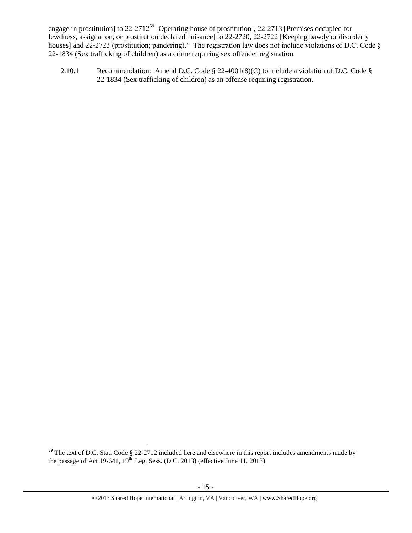engage in prostitution] to 22-2712<sup>59</sup> [Operating house of prostitution], 22-2713 [Premises occupied for lewdness, assignation, or prostitution declared nuisance] to 22-2720, 22-2722 [Keeping bawdy or disorderly houses] and 22-2723 (prostitution; pandering)." The registration law does not include violations of D.C. Code § 22-1834 (Sex trafficking of children) as a crime requiring sex offender registration.

<span id="page-14-0"></span>2.10.1 Recommendation: Amend D.C. Code § 22-4001(8)(C) to include a violation of D.C. Code § 22-1834 (Sex trafficking of children) as an offense requiring registration.

 $\overline{a}$ 

 $59$  The text of D.C. Stat. Code § 22-2712 included here and elsewhere in this report includes amendments made by the passage of Act 19-641,  $19^{th}$  Leg. Sess. (D.C. 2013) (effective June 11, 2013).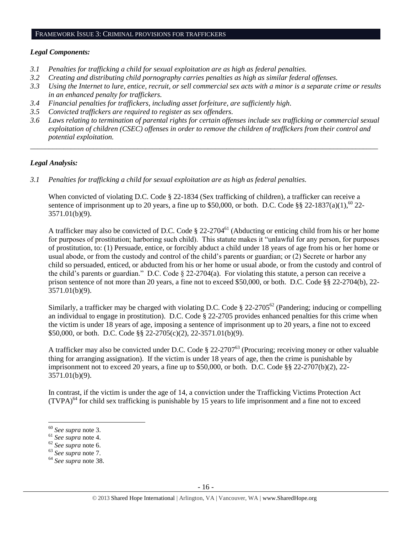### FRAMEWORK ISSUE 3: CRIMINAL PROVISIONS FOR TRAFFICKERS

### *Legal Components:*

- *3.1 Penalties for trafficking a child for sexual exploitation are as high as federal penalties.*
- *3.2 Creating and distributing child pornography carries penalties as high as similar federal offenses.*
- *3.3 Using the Internet to lure, entice, recruit, or sell commercial sex acts with a minor is a separate crime or results in an enhanced penalty for traffickers.*
- *3.4 Financial penalties for traffickers, including asset forfeiture, are sufficiently high*.
- *3.5 Convicted traffickers are required to register as sex offenders.*
- *3.6 Laws relating to termination of parental rights for certain offenses include sex trafficking or commercial sexual exploitation of children (CSEC) offenses in order to remove the children of traffickers from their control and potential exploitation.*

*\_\_\_\_\_\_\_\_\_\_\_\_\_\_\_\_\_\_\_\_\_\_\_\_\_\_\_\_\_\_\_\_\_\_\_\_\_\_\_\_\_\_\_\_\_\_\_\_\_\_\_\_\_\_\_\_\_\_\_\_\_\_\_\_\_\_\_\_\_\_\_\_\_\_\_\_\_\_\_\_\_\_\_\_\_\_\_\_\_\_\_\_\_\_*

### *Legal Analysis:*

*3.1 Penalties for trafficking a child for sexual exploitation are as high as federal penalties.*

When convicted of violating D.C. Code § 22-1834 (Sex trafficking of children), a trafficker can receive a sentence of imprisonment up to 20 years, a fine up to \$50,000, or both. D.C. Code §§ 22-1837(a)(1),<sup>60</sup> 22-3571.01(b)(9).

A trafficker may also be convicted of D.C. Code  $\S 22-2704<sup>61</sup>$  (Abducting or enticing child from his or her home for purposes of prostitution; harboring such child). This statute makes it "unlawful for any person, for purposes of prostitution, to: (1) Persuade, entice, or forcibly abduct a child under 18 years of age from his or her home or usual abode, or from the custody and control of the child's parents or guardian; or (2) Secrete or harbor any child so persuaded, enticed, or abducted from his or her home or usual abode, or from the custody and control of the child's parents or guardian." D.C. Code § 22-2704(a). For violating this statute, a person can receive a prison sentence of not more than 20 years, a fine not to exceed \$50,000, or both. D.C. Code §§ 22-2704(b), 22- 3571.01(b)(9).

Similarly, a trafficker may be charged with violating D.C. Code  $\S 22-2705^{62}$  (Pandering; inducing or compelling an individual to engage in prostitution). D.C. Code § 22-2705 provides enhanced penalties for this crime when the victim is under 18 years of age, imposing a sentence of imprisonment up to 20 years, a fine not to exceed \$50,000, or both. D.C. Code §§ 22-2705(c)(2), 22-3571.01(b)(9).

A trafficker may also be convicted under D.C. Code § 22-2707<sup>63</sup> (Procuring; receiving money or other valuable thing for arranging assignation). If the victim is under 18 years of age, then the crime is punishable by imprisonment not to exceed 20 years, a fine up to  $$50,000$ , or both. D.C. Code §§ 22-2707(b)(2), 22-3571.01(b)(9).

In contrast, if the victim is under the age of 14, a conviction under the Trafficking Victims Protection Act  $(TVPA)<sup>64</sup>$  for child sex trafficking is punishable by 15 years to life imprisonment and a fine not to exceed

l

<sup>63</sup> *See supra* note [7.](#page-1-3)

<sup>60</sup> *See supra* note [3.](#page-1-0)

<sup>61</sup> *See supra* note [4.](#page-1-2)

<sup>62</sup> *See supra* note [6.](#page-1-1)

<sup>64</sup> *See supra* note [38.](#page-8-0)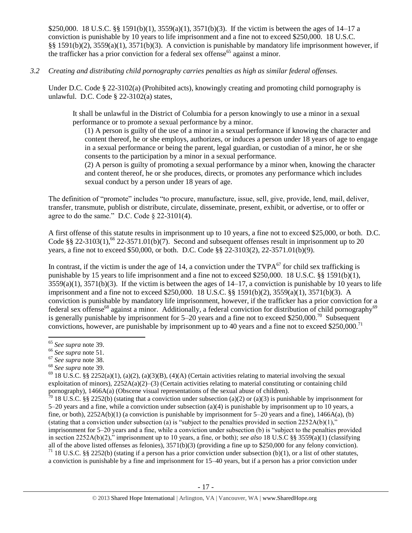\$250,000. 18 U.S.C. §§ 1591(b)(1), 3559(a)(1), 3571(b)(3). If the victim is between the ages of 14–17 a conviction is punishable by 10 years to life imprisonment and a fine not to exceed \$250,000. 18 U.S.C. §§ 1591(b)(2), 3559(a)(1), 3571(b)(3). A conviction is punishable by mandatory life imprisonment however, if the trafficker has a prior conviction for a federal sex offense<sup>65</sup> against a minor.

*3.2 Creating and distributing child pornography carries penalties as high as similar federal offenses.*

Under D.C. Code § 22-3102(a) (Prohibited acts), knowingly creating and promoting child pornography is unlawful. D.C. Code § 22-3102(a) states,

It shall be unlawful in the District of Columbia for a person knowingly to use a minor in a sexual performance or to promote a sexual performance by a minor.

(1) A person is guilty of the use of a minor in a sexual performance if knowing the character and content thereof, he or she employs, authorizes, or induces a person under 18 years of age to engage in a sexual performance or being the parent, legal guardian, or custodian of a minor, he or she consents to the participation by a minor in a sexual performance.

(2) A person is guilty of promoting a sexual performance by a minor when, knowing the character and content thereof, he or she produces, directs, or promotes any performance which includes sexual conduct by a person under 18 years of age.

The definition of "promote" includes "to procure, manufacture, issue, sell, give, provide, lend, mail, deliver, transfer, transmute, publish or distribute, circulate, disseminate, present, exhibit, or advertise, or to offer or agree to do the same." D.C. Code  $\S$  22-3101(4).

A first offense of this statute results in imprisonment up to 10 years, a fine not to exceed \$25,000, or both. D.C. Code §§ 22-3103(1),<sup>66</sup> 22-3571.01(b)(7). Second and subsequent offenses result in imprisonment up to 20 years, a fine not to exceed \$50,000, or both. D.C. Code §§ 22-3103(2), 22-3571.01(b)(9).

In contrast, if the victim is under the age of 14, a conviction under the  $TVPA<sup>67</sup>$  for child sex trafficking is punishable by 15 years to life imprisonment and a fine not to exceed \$250,000. 18 U.S.C. §§ 1591(b)(1),  $3559(a)(1)$ ,  $3571(b)(3)$ . If the victim is between the ages of  $14-17$ , a conviction is punishable by 10 years to life imprisonment and a fine not to exceed \$250,000. 18 U.S.C. §§ 1591(b)(2), 3559(a)(1), 3571(b)(3). A conviction is punishable by mandatory life imprisonment, however, if the trafficker has a prior conviction for a federal sex offense<sup>68</sup> against a minor. Additionally, a federal conviction for distribution of child pornography<sup>69</sup> is generally punishable by imprisonment for  $5-20$  years and a fine not to exceed \$250,000.<sup>70</sup> Subsequent convictions, however, are punishable by imprisonment up to 40 years and a fine not to exceed \$250,000.<sup>71</sup>

 $\overline{\phantom{a}}$ <sup>65</sup> *See supra* note [39.](#page-8-1) 

<sup>66</sup> *See supra* note [51.](#page-13-0) 

<sup>67</sup> *See supra* note [38.](#page-8-0)

<sup>68</sup> *See supra* note [39.](#page-8-1) 

 $^{69}$  18 U.S.C. §§ 2252(a)(1), (a)(2), (a)(3)(B), (4)(A) (Certain activities relating to material involving the sexual exploitation of minors),  $2252A(a)(2)-(3)$  (Certain activities relating to material constituting or containing child pornography), 1466A(a) (Obscene visual representations of the sexual abuse of children).

 $70$  18 U.S.C. §§ 2252(b) (stating that a conviction under subsection (a)(2) or (a)(3) is punishable by imprisonment for 5–20 years and a fine, while a conviction under subsection (a)(4) is punishable by imprisonment up to 10 years, a fine, or both),  $2252A(b)(1)$  (a conviction is punishable by imprisonment for  $5-20$  years and a fine),  $1466A(a)$ , (b) (stating that a conviction under subsection (a) is "subject to the penalties provided in section  $2252A(b)(1)$ ," imprisonment for 5–20 years and a fine, while a conviction under subsection (b) is "subject to the penalties provided in section 2252A(b)(2)," imprisonment up to 10 years, a fine, or both); *see also* 18 U.S.C §§ 3559(a)(1) (classifying all of the above listed offenses as felonies),  $3571(b)(3)$  (providing a fine up to \$250,000 for any felony conviction). <sup>71</sup> 18 U.S.C. §§ 2252(b) (stating if a person has a prior conviction under subsection (b)(1), or a list of other statutes, a conviction is punishable by a fine and imprisonment for 15–40 years, but if a person has a prior conviction under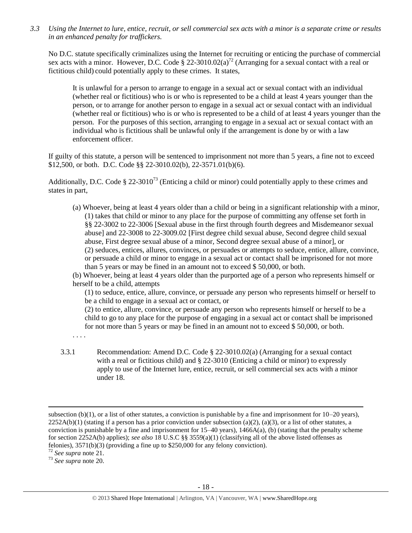*3.3 Using the Internet to lure, entice, recruit, or sell commercial sex acts with a minor is a separate crime or results in an enhanced penalty for traffickers.*

No D.C. statute specifically criminalizes using the Internet for recruiting or enticing the purchase of commercial sex acts with a minor. However, D.C. Code § 22-3010.02(a)<sup>72</sup> (Arranging for a sexual contact with a real or fictitious child) could potentially apply to these crimes. It states,

It is unlawful for a person to arrange to engage in a sexual act or sexual contact with an individual (whether real or fictitious) who is or who is represented to be a child at least 4 years younger than the person, or to arrange for another person to engage in a sexual act or sexual contact with an individual (whether real or fictitious) who is or who is represented to be a child of at least 4 years younger than the person. For the purposes of this section, arranging to engage in a sexual act or sexual contact with an individual who is fictitious shall be unlawful only if the arrangement is done by or with a law enforcement officer.

If guilty of this statute, a person will be sentenced to imprisonment not more than 5 years, a fine not to exceed \$12,500, or both. D.C. Code §§ 22-3010.02(b), 22-3571.01(b)(6).

Additionally, D.C. Code § 22-3010<sup>73</sup> (Enticing a child or minor) could potentially apply to these crimes and states in part,

(a) Whoever, being at least 4 years older than a child or being in a significant relationship with a minor, (1) takes that child or minor to any place for the purpose of committing any offense set forth in §§ 22-3002 to 22-3006 [Sexual abuse in the first through fourth degrees and Misdemeanor sexual abuse] and 22-3008 to 22-3009.02 [First degree child sexual abuse, Second degree child sexual abuse, First degree sexual abuse of a minor, Second degree sexual abuse of a minor], or (2) seduces, entices, allures, convinces, or persuades or attempts to seduce, entice, allure, convince, or persuade a child or minor to engage in a sexual act or contact shall be imprisoned for not more than 5 years or may be fined in an amount not to exceed \$ 50,000, or both.

(b) Whoever, being at least 4 years older than the purported age of a person who represents himself or herself to be a child, attempts

(1) to seduce, entice, allure, convince, or persuade any person who represents himself or herself to be a child to engage in a sexual act or contact, or

(2) to entice, allure, convince, or persuade any person who represents himself or herself to be a child to go to any place for the purpose of engaging in a sexual act or contact shall be imprisoned for not more than 5 years or may be fined in an amount not to exceed \$ 50,000, or both.

. . . .

3.3.1 Recommendation: Amend D.C. Code § 22-3010.02(a) (Arranging for a sexual contact with a real or fictitious child) and § 22-3010 (Enticing a child or minor) to expressly apply to use of the Internet lure, entice, recruit, or sell commercial sex acts with a minor under 18.

 $\overline{\phantom{a}}$ 

<sup>73</sup> *See supra* note [20.](#page-3-1)

subsection (b)(1), or a list of other statutes, a conviction is punishable by a fine and imprisonment for  $10-20$  years),  $2252A(b)(1)$  (stating if a person has a prior conviction under subsection (a)(2), (a)(3), or a list of other statutes, a conviction is punishable by a fine and imprisonment for  $15-40$  years),  $1466A(a)$ , (b) (stating that the penalty scheme for section 2252A(b) applies); *see also* 18 U.S.C §§ 3559(a)(1) (classifying all of the above listed offenses as felonies), 3571(b)(3) (providing a fine up to \$250,000 for any felony conviction).

<sup>72</sup> *See supra* note [21.](#page-3-2)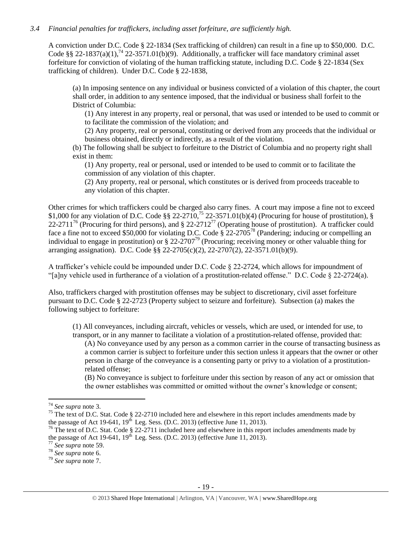### *3.4 Financial penalties for traffickers, including asset forfeiture, are sufficiently high.*

A conviction under D.C. Code § 22-1834 (Sex trafficking of children) can result in a fine up to \$50,000. D.C. Code §§ 22-1837(a)(1),<sup>74</sup> 22-3571.01(b)(9). Additionally, a trafficker will face mandatory criminal asset forfeiture for conviction of violating of the human trafficking statute, including D.C. Code § 22-1834 (Sex trafficking of children). Under D.C. Code § 22-1838,

(a) In imposing sentence on any individual or business convicted of a violation of this chapter, the court shall order, in addition to any sentence imposed, that the individual or business shall forfeit to the District of Columbia:

(1) Any interest in any property, real or personal, that was used or intended to be used to commit or to facilitate the commission of the violation; and

(2) Any property, real or personal, constituting or derived from any proceeds that the individual or business obtained, directly or indirectly, as a result of the violation.

(b) The following shall be subject to forfeiture to the District of Columbia and no property right shall exist in them:

(1) Any property, real or personal, used or intended to be used to commit or to facilitate the commission of any violation of this chapter.

(2) Any property, real or personal, which constitutes or is derived from proceeds traceable to any violation of this chapter.

<span id="page-18-0"></span>Other crimes for which traffickers could be charged also carry fines. A court may impose a fine not to exceed \$1,000 for any violation of D.C. Code  $\S$ § 22-2710,<sup>75</sup> 22-3571.01(b)(4) (Procuring for house of prostitution), § 22-2711<sup>76</sup> (Procuring for third persons), and  $\S 22-2712^{77}$  (Operating house of prostitution). A trafficker could face a fine not to exceed \$50,000 for violating D.C. Code § 22-2705<sup>78</sup> (Pandering; inducing or compelling an individual to engage in prostitution) or  $\S 22-2707^{79}$  (Procuring; receiving money or other valuable thing for arranging assignation). D.C. Code §§ 22-2705(c)(2), 22-2707(2), 22-3571.01(b)(9).

A trafficker's vehicle could be impounded under D.C. Code § 22-2724, which allows for impoundment of "[a]ny vehicle used in furtherance of a violation of a prostitution-related offense." D.C. Code § 22-2724(a).

Also, traffickers charged with prostitution offenses may be subject to discretionary, civil asset forfeiture pursuant to D.C. Code § 22-2723 (Property subject to seizure and forfeiture). Subsection (a) makes the following subject to forfeiture:

(1) All conveyances, including aircraft, vehicles or vessels, which are used, or intended for use, to transport, or in any manner to facilitate a violation of a prostitution-related offense, provided that: (A) No conveyance used by any person as a common carrier in the course of transacting business as a common carrier is subject to forfeiture under this section unless it appears that the owner or other

person in charge of the conveyance is a consenting party or privy to a violation of a prostitutionrelated offense;

(B) No conveyance is subject to forfeiture under this section by reason of any act or omission that the owner establishes was committed or omitted without the owner's knowledge or consent;

 $\overline{a}$ 

<sup>74</sup> *See supra* note [3.](#page-1-0)

<sup>&</sup>lt;sup>75</sup> The text of D.C. Stat. Code  $\S$  22-2710 included here and elsewhere in this report includes amendments made by the passage of Act 19-641,  $19<sup>th</sup>$  Leg. Sess. (D.C. 2013) (effective June 11, 2013).

 $76$  The text of D.C. Stat. Code § 22-2711 included here and elsewhere in this report includes amendments made by the passage of Act 19-641,  $19<sup>th</sup>$  Leg. Sess. (D.C. 2013) (effective June 11, 2013).

<sup>77</sup> *See supra* note [59.](#page-14-0)

<sup>78</sup> *See supra* note [6.](#page-1-1)

<sup>79</sup> *See supra* note [7.](#page-1-3)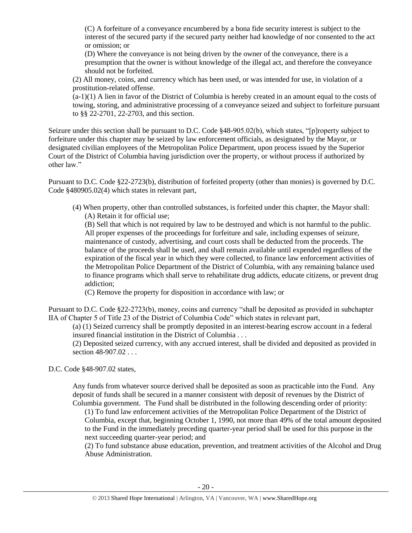(C) A forfeiture of a conveyance encumbered by a bona fide security interest is subject to the interest of the secured party if the secured party neither had knowledge of nor consented to the act or omission; or

(D) Where the conveyance is not being driven by the owner of the conveyance, there is a presumption that the owner is without knowledge of the illegal act, and therefore the conveyance should not be forfeited.

(2) All money, coins, and currency which has been used, or was intended for use, in violation of a prostitution-related offense.

(a-1)(1) A lien in favor of the District of Columbia is hereby created in an amount equal to the costs of towing, storing, and administrative processing of a conveyance seized and subject to forfeiture pursuant to §§ 22-2701, 22-2703, and this section.

Seizure under this section shall be pursuant to D.C. Code §48-905.02(b), which states, "[p]roperty subject to forfeiture under this chapter may be seized by law enforcement officials, as designated by the Mayor, or designated civilian employees of the Metropolitan Police Department, upon process issued by the Superior Court of the District of Columbia having jurisdiction over the property, or without process if authorized by other law."

Pursuant to D.C. Code §22-2723(b), distribution of forfeited property (other than monies) is governed by D.C. Code §480905.02(4) which states in relevant part,

(4) When property, other than controlled substances, is forfeited under this chapter, the Mayor shall: (A) Retain it for official use;

(B) Sell that which is not required by law to be destroyed and which is not harmful to the public. All proper expenses of the proceedings for forfeiture and sale, including expenses of seizure, maintenance of custody, advertising, and court costs shall be deducted from the proceeds. The balance of the proceeds shall be used, and shall remain available until expended regardless of the expiration of the fiscal year in which they were collected, to finance law enforcement activities of the Metropolitan Police Department of the District of Columbia, with any remaining balance used to finance programs which shall serve to rehabilitate drug addicts, educate citizens, or prevent drug addiction;

(C) Remove the property for disposition in accordance with law; or

Pursuant to D.C. Code §22-2723(b), money, coins and currency "shall be deposited as provided in subchapter IIA of Chapter 5 of Title 23 of the District of Columbia Code" which states in relevant part,

(a) (1) Seized currency shall be promptly deposited in an interest-bearing escrow account in a federal insured financial institution in the District of Columbia . . .

(2) Deposited seized currency, with any accrued interest, shall be divided and deposited as provided in section 48-907.02 . . .

D.C. Code §48-907.02 states,

Any funds from whatever source derived shall be deposited as soon as practicable into the Fund. Any deposit of funds shall be secured in a manner consistent with deposit of revenues by the District of Columbia government. The Fund shall be distributed in the following descending order of priority:

(1) To fund law enforcement activities of the Metropolitan Police Department of the District of Columbia, except that, beginning October 1, 1990, not more than 49% of the total amount deposited to the Fund in the immediately preceding quarter-year period shall be used for this purpose in the next succeeding quarter-year period; and

(2) To fund substance abuse education, prevention, and treatment activities of the Alcohol and Drug Abuse Administration.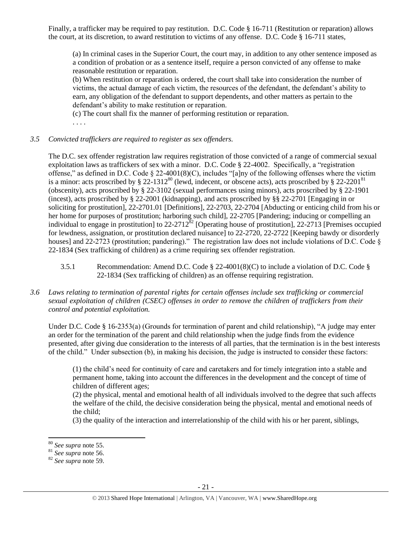Finally, a trafficker may be required to pay restitution. D.C. Code § 16-711 (Restitution or reparation) allows the court, at its discretion, to award restitution to victims of any offense. D.C. Code § 16-711 states,

(a) In criminal cases in the Superior Court, the court may, in addition to any other sentence imposed as a condition of probation or as a sentence itself, require a person convicted of any offense to make reasonable restitution or reparation.

(b) When restitution or reparation is ordered, the court shall take into consideration the number of victims, the actual damage of each victim, the resources of the defendant, the defendant's ability to earn, any obligation of the defendant to support dependents, and other matters as pertain to the defendant's ability to make restitution or reparation.

(c) The court shall fix the manner of performing restitution or reparation.

. . . .

# *3.5 Convicted traffickers are required to register as sex offenders.*

The D.C. sex offender registration law requires registration of those convicted of a range of commercial sexual exploitation laws as traffickers of sex with a minor. D.C. Code § 22-4002. Specifically, a "registration offense," as defined in D.C. Code  $\S 22-4001(8)(C)$ , includes "[a]ny of the following offenses where the victim is a minor: acts proscribed by § 22-1312<sup>80</sup> (lewd, indecent, or obscene acts), acts proscribed by § 22-2201<sup>81</sup> (obscenity), acts proscribed by § 22-3102 (sexual performances using minors), acts proscribed by § 22-1901 (incest), acts proscribed by § 22-2001 (kidnapping), and acts proscribed by §§ 22-2701 [Engaging in or soliciting for prostitution], 22-2701.01 [Definitions], 22-2703, 22-2704 [Abducting or enticing child from his or her home for purposes of prostitution; harboring such child], 22-2705 [Pandering; inducing or compelling an individual to engage in prostitution] to  $22-2712^{82}$  [Operating house of prostitution],  $22-2713$  [Premises occupied for lewdness, assignation, or prostitution declared nuisance] to 22-2720, 22-2722 [Keeping bawdy or disorderly houses] and 22-2723 (prostitution; pandering)." The registration law does not include violations of D.C. Code § 22-1834 (Sex trafficking of children) as a crime requiring sex offender registration.

- 3.5.1 Recommendation: Amend D.C. Code § 22-4001(8)(C) to include a violation of D.C. Code § 22-1834 (Sex trafficking of children) as an offense requiring registration.
- *3.6 Laws relating to termination of parental rights for certain offenses include sex trafficking or commercial sexual exploitation of children (CSEC) offenses in order to remove the children of traffickers from their control and potential exploitation.*

Under D.C. Code § 16-2353(a) (Grounds for termination of parent and child relationship), "A judge may enter an order for the termination of the parent and child relationship when the judge finds from the evidence presented, after giving due consideration to the interests of all parties, that the termination is in the best interests of the child." Under subsection (b), in making his decision, the judge is instructed to consider these factors:

(1) the child's need for continuity of care and caretakers and for timely integration into a stable and permanent home, taking into account the differences in the development and the concept of time of children of different ages;

(2) the physical, mental and emotional health of all individuals involved to the degree that such affects the welfare of the child, the decisive consideration being the physical, mental and emotional needs of the child;

(3) the quality of the interaction and interrelationship of the child with his or her parent, siblings,

l

<sup>80</sup> *See supra* note [55.](#page-13-1)

<sup>81</sup> *See supra* note [56.](#page-13-2)

<sup>82</sup> *See supra* note [59.](#page-14-0)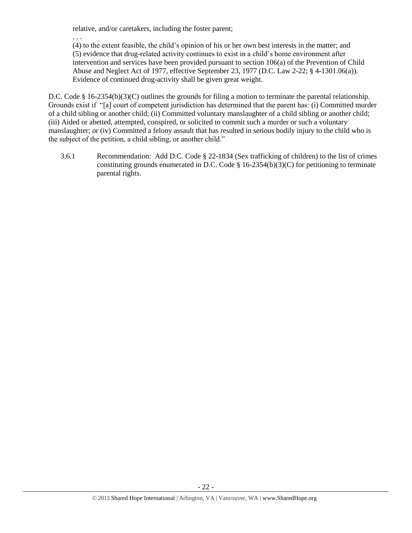relative, and/or caretakers, including the foster parent;

. . . (4) to the extent feasible, the child's opinion of his or her own best interests in the matter; and (5) evidence that drug-related activity continues to exist in a child's home environment after intervention and services have been provided pursuant to section 106(a) of the Prevention of Child Abuse and Neglect Act of 1977, effective September 23, 1977 (D.C. Law 2-22; § 4-1301.06(a)). Evidence of continued drug-activity shall be given great weight.

D.C. Code § 16-2354(b)(3)(C) outlines the grounds for filing a motion to terminate the parental relationship. Grounds exist if "[a] court of competent jurisdiction has determined that the parent has: (i) Committed murder of a child sibling or another child; (ii) Committed voluntary manslaughter of a child sibling or another child; (iii) Aided or abetted, attempted, conspired, or solicited to commit such a murder or such a voluntary manslaughter; or (iv) Committed a felony assault that has resulted in serious bodily injury to the child who is the subject of the petition, a child sibling, or another child."

3.6.1 Recommendation: Add D.C. Code § 22-1834 (Sex trafficking of children) to the list of crimes constituting grounds enumerated in D.C. Code  $\S$  16-2354(b)(3)(C) for petitioning to terminate parental rights.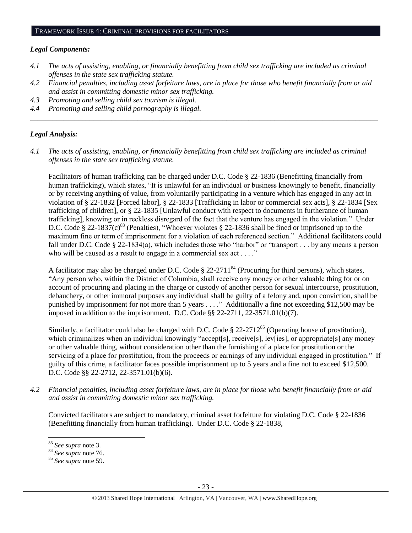### *Legal Components:*

- *4.1 The acts of assisting, enabling, or financially benefitting from child sex trafficking are included as criminal offenses in the state sex trafficking statute.*
- *4.2 Financial penalties, including asset forfeiture laws, are in place for those who benefit financially from or aid and assist in committing domestic minor sex trafficking.*

*\_\_\_\_\_\_\_\_\_\_\_\_\_\_\_\_\_\_\_\_\_\_\_\_\_\_\_\_\_\_\_\_\_\_\_\_\_\_\_\_\_\_\_\_\_\_\_\_\_\_\_\_\_\_\_\_\_\_\_\_\_\_\_\_\_\_\_\_\_\_\_\_\_\_\_\_\_\_\_\_\_\_\_\_\_\_\_\_\_\_\_\_\_\_*

- *4.3 Promoting and selling child sex tourism is illegal.*
- *4.4 Promoting and selling child pornography is illegal.*

### *Legal Analysis:*

*4.1 The acts of assisting, enabling, or financially benefitting from child sex trafficking are included as criminal offenses in the state sex trafficking statute.*

Facilitators of human trafficking can be charged under D.C. Code § 22-1836 (Benefitting financially from human trafficking), which states, "It is unlawful for an individual or business knowingly to benefit, financially or by receiving anything of value, from voluntarily participating in a venture which has engaged in any act in violation of § 22-1832 [Forced labor], § 22-1833 [Trafficking in labor or commercial sex acts], § 22-1834 [Sex trafficking of children], or § 22-1835 [Unlawful conduct with respect to documents in furtherance of human trafficking], knowing or in reckless disregard of the fact that the venture has engaged in the violation." Under D.C. Code § 22-1837(c)<sup>83</sup> (Penalties), "Whoever violates § 22-1836 shall be fined or imprisoned up to the maximum fine or term of imprisonment for a violation of each referenced section." Additional facilitators could fall under D.C. Code § 22-1834(a), which includes those who "harbor" or "transport . . . by any means a person who will be caused as a result to engage in a commercial sex act . . . ."

A facilitator may also be charged under D.C. Code  $\S 22-2711^{84}$  (Procuring for third persons), which states, "Any person who, within the District of Columbia, shall receive any money or other valuable thing for or on account of procuring and placing in the charge or custody of another person for sexual intercourse, prostitution, debauchery, or other immoral purposes any individual shall be guilty of a felony and, upon conviction, shall be punished by imprisonment for not more than 5 years . . . ." Additionally a fine not exceeding \$12,500 may be imposed in addition to the imprisonment. D.C. Code §§ 22-2711, 22-3571.01(b)(7).

Similarly, a facilitator could also be charged with D.C. Code  $\S 22-2712^{85}$  (Operating house of prostitution), which criminalizes when an individual knowingly "accept[s], receive[s], lev[ies], or appropriate[s] any money or other valuable thing, without consideration other than the furnishing of a place for prostitution or the servicing of a place for prostitution, from the proceeds or earnings of any individual engaged in prostitution." If guilty of this crime, a facilitator faces possible imprisonment up to 5 years and a fine not to exceed \$12,500. D.C. Code §§ 22-2712, 22-3571.01(b)(6).

*4.2 Financial penalties, including asset forfeiture laws, are in place for those who benefit financially from or aid and assist in committing domestic minor sex trafficking.*

Convicted facilitators are subject to mandatory, criminal asset forfeiture for violating D.C. Code § 22-1836 (Benefitting financially from human trafficking). Under D.C. Code § 22-1838,

l

<sup>83</sup> *See supra* note [3.](#page-1-0)

<sup>84</sup> *See supra* note [76.](#page-18-0) 

<sup>85</sup> *See supra* note [59.](#page-14-0)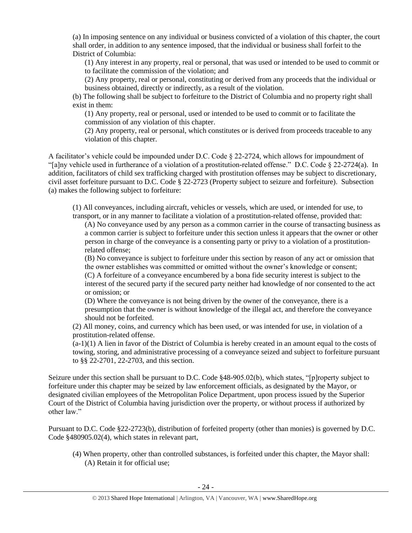(a) In imposing sentence on any individual or business convicted of a violation of this chapter, the court shall order, in addition to any sentence imposed, that the individual or business shall forfeit to the District of Columbia:

(1) Any interest in any property, real or personal, that was used or intended to be used to commit or to facilitate the commission of the violation; and

(2) Any property, real or personal, constituting or derived from any proceeds that the individual or business obtained, directly or indirectly, as a result of the violation.

(b) The following shall be subject to forfeiture to the District of Columbia and no property right shall exist in them:

(1) Any property, real or personal, used or intended to be used to commit or to facilitate the commission of any violation of this chapter.

(2) Any property, real or personal, which constitutes or is derived from proceeds traceable to any violation of this chapter.

A facilitator's vehicle could be impounded under D.C. Code § 22-2724, which allows for impoundment of "[a]ny vehicle used in furtherance of a violation of a prostitution-related offense." D.C. Code § 22-2724(a). In addition, facilitators of child sex trafficking charged with prostitution offenses may be subject to discretionary, civil asset forfeiture pursuant to D.C. Code § 22-2723 (Property subject to seizure and forfeiture). Subsection (a) makes the following subject to forfeiture:

(1) All conveyances, including aircraft, vehicles or vessels, which are used, or intended for use, to transport, or in any manner to facilitate a violation of a prostitution-related offense, provided that:

(A) No conveyance used by any person as a common carrier in the course of transacting business as a common carrier is subject to forfeiture under this section unless it appears that the owner or other person in charge of the conveyance is a consenting party or privy to a violation of a prostitutionrelated offense;

(B) No conveyance is subject to forfeiture under this section by reason of any act or omission that the owner establishes was committed or omitted without the owner's knowledge or consent; (C) A forfeiture of a conveyance encumbered by a bona fide security interest is subject to the interest of the secured party if the secured party neither had knowledge of nor consented to the act or omission; or

(D) Where the conveyance is not being driven by the owner of the conveyance, there is a presumption that the owner is without knowledge of the illegal act, and therefore the conveyance should not be forfeited.

(2) All money, coins, and currency which has been used, or was intended for use, in violation of a prostitution-related offense.

 $(a-1)(1)$  A lien in favor of the District of Columbia is hereby created in an amount equal to the costs of towing, storing, and administrative processing of a conveyance seized and subject to forfeiture pursuant to §§ 22-2701, 22-2703, and this section.

Seizure under this section shall be pursuant to D.C. Code §48-905.02(b), which states, "[p]roperty subject to forfeiture under this chapter may be seized by law enforcement officials, as designated by the Mayor, or designated civilian employees of the Metropolitan Police Department, upon process issued by the Superior Court of the District of Columbia having jurisdiction over the property, or without process if authorized by other law."

Pursuant to D.C. Code §22-2723(b), distribution of forfeited property (other than monies) is governed by D.C. Code §480905.02(4), which states in relevant part,

(4) When property, other than controlled substances, is forfeited under this chapter, the Mayor shall: (A) Retain it for official use;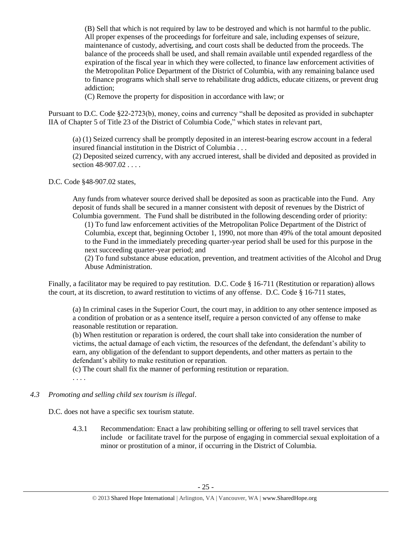(B) Sell that which is not required by law to be destroyed and which is not harmful to the public. All proper expenses of the proceedings for forfeiture and sale, including expenses of seizure, maintenance of custody, advertising, and court costs shall be deducted from the proceeds. The balance of the proceeds shall be used, and shall remain available until expended regardless of the expiration of the fiscal year in which they were collected, to finance law enforcement activities of the Metropolitan Police Department of the District of Columbia, with any remaining balance used to finance programs which shall serve to rehabilitate drug addicts, educate citizens, or prevent drug addiction;

(C) Remove the property for disposition in accordance with law; or

Pursuant to D.C. Code §22-2723(b), money, coins and currency "shall be deposited as provided in subchapter IIA of Chapter 5 of Title 23 of the District of Columbia Code," which states in relevant part,

(a) (1) Seized currency shall be promptly deposited in an interest-bearing escrow account in a federal insured financial institution in the District of Columbia . . .

(2) Deposited seized currency, with any accrued interest, shall be divided and deposited as provided in section 48-907.02...

D.C. Code §48-907.02 states,

Any funds from whatever source derived shall be deposited as soon as practicable into the Fund. Any deposit of funds shall be secured in a manner consistent with deposit of revenues by the District of Columbia government. The Fund shall be distributed in the following descending order of priority:

(1) To fund law enforcement activities of the Metropolitan Police Department of the District of Columbia, except that, beginning October 1, 1990, not more than 49% of the total amount deposited to the Fund in the immediately preceding quarter-year period shall be used for this purpose in the next succeeding quarter-year period; and

(2) To fund substance abuse education, prevention, and treatment activities of the Alcohol and Drug Abuse Administration.

Finally, a facilitator may be required to pay restitution. D.C. Code § 16-711 (Restitution or reparation) allows the court, at its discretion, to award restitution to victims of any offense. D.C. Code § 16-711 states,

(a) In criminal cases in the Superior Court, the court may, in addition to any other sentence imposed as a condition of probation or as a sentence itself, require a person convicted of any offense to make reasonable restitution or reparation.

(b) When restitution or reparation is ordered, the court shall take into consideration the number of victims, the actual damage of each victim, the resources of the defendant, the defendant's ability to earn, any obligation of the defendant to support dependents, and other matters as pertain to the defendant's ability to make restitution or reparation.

(c) The court shall fix the manner of performing restitution or reparation.

. . . .

*4.3 Promoting and selling child sex tourism is illegal*.

D.C. does not have a specific sex tourism statute.

4.3.1 Recommendation: Enact a law prohibiting selling or offering to sell travel services that include or facilitate travel for the purpose of engaging in commercial sexual exploitation of a minor or prostitution of a minor, if occurring in the District of Columbia.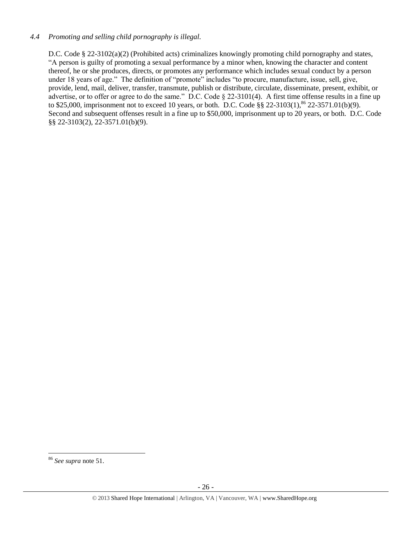### *4.4 Promoting and selling child pornography is illegal.*

D.C. Code § 22-3102(a)(2) (Prohibited acts) criminalizes knowingly promoting child pornography and states, "A person is guilty of promoting a sexual performance by a minor when, knowing the character and content thereof, he or she produces, directs, or promotes any performance which includes sexual conduct by a person under 18 years of age." The definition of "promote" includes "to procure, manufacture, issue, sell, give, provide, lend, mail, deliver, transfer, transmute, publish or distribute, circulate, disseminate, present, exhibit, or advertise, or to offer or agree to do the same." D.C. Code § 22-3101(4). A first time offense results in a fine up to \$25,000, imprisonment not to exceed 10 years, or both. D.C. Code §§ 22-3103(1), <sup>86</sup> 22-3571.01(b)(9). Second and subsequent offenses result in a fine up to \$50,000, imprisonment up to 20 years, or both. D.C. Code §§ 22-3103(2), 22-3571.01(b)(9).

 $\overline{\phantom{a}}$ <sup>86</sup> *See supra* note [51.](#page-13-0)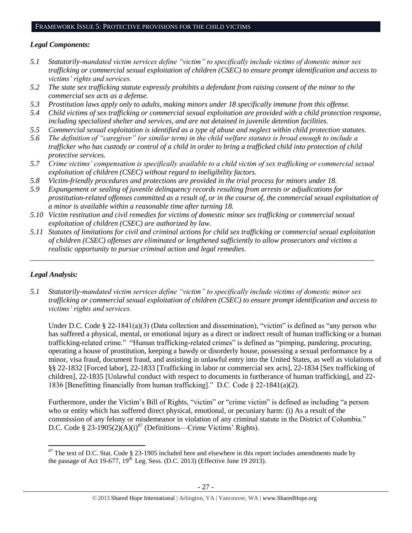#### FRAMEWORK ISSUE 5: PROTECTIVE PROVISIONS FOR THE CHILD VICTIMS

### *Legal Components:*

- *5.1 Statutorily-mandated victim services define "victim" to specifically include victims of domestic minor sex trafficking or commercial sexual exploitation of children (CSEC) to ensure prompt identification and access to victims' rights and services.*
- *5.2 The state sex trafficking statute expressly prohibits a defendant from raising consent of the minor to the commercial sex acts as a defense.*
- *5.3 Prostitution laws apply only to adults, making minors under 18 specifically immune from this offense.*
- *5.4 Child victims of sex trafficking or commercial sexual exploitation are provided with a child protection response, including specialized shelter and services, and are not detained in juvenile detention facilities.*
- *5.5 Commercial sexual exploitation is identified as a type of abuse and neglect within child protection statutes.*
- *5.6 The definition of "caregiver" (or similar term) in the child welfare statutes is broad enough to include a trafficker who has custody or control of a child in order to bring a trafficked child into protection of child protective services.*
- *5.7 Crime victims' compensation is specifically available to a child victim of sex trafficking or commercial sexual exploitation of children (CSEC) without regard to ineligibility factors.*
- *5.8 Victim-friendly procedures and protections are provided in the trial process for minors under 18.*
- *5.9 Expungement or sealing of juvenile delinquency records resulting from arrests or adjudications for prostitution-related offenses committed as a result of, or in the course of, the commercial sexual exploitation of a minor is available within a reasonable time after turning 18.*
- *5.10 Victim restitution and civil remedies for victims of domestic minor sex trafficking or commercial sexual exploitation of children (CSEC) are authorized by law.*
- *5.11 Statutes of limitations for civil and criminal actions for child sex trafficking or commercial sexual exploitation of children (CSEC) offenses are eliminated or lengthened sufficiently to allow prosecutors and victims a realistic opportunity to pursue criminal action and legal remedies.*

*\_\_\_\_\_\_\_\_\_\_\_\_\_\_\_\_\_\_\_\_\_\_\_\_\_\_\_\_\_\_\_\_\_\_\_\_\_\_\_\_\_\_\_\_\_\_\_\_\_\_\_\_\_\_\_\_\_\_\_\_\_\_\_\_\_\_\_\_\_\_\_\_\_\_\_\_\_\_\_\_\_\_\_\_\_\_\_\_\_\_\_\_\_*

# *Legal Analysis:*

 $\overline{a}$ 

*5.1 Statutorily-mandated victim services define "victim" to specifically include victims of domestic minor sex trafficking or commercial sexual exploitation of children (CSEC) to ensure prompt identification and access to victims' rights and services.* 

Under D.C. Code § 22-1841(a)(3) (Data collection and dissemination), "victim" is defined as "any person who has suffered a physical, mental, or emotional injury as a direct or indirect result of human trafficking or a human trafficking-related crime." "Human trafficking-related crimes" is defined as "pimping, pandering, procuring, operating a house of prostitution, keeping a bawdy or disorderly house, possessing a sexual performance by a minor, visa fraud, document fraud, and assisting in unlawful entry into the United States, as well as violations of §§ 22-1832 [Forced labor], 22-1833 [Trafficking in labor or commercial sex acts], 22-1834 [Sex trafficking of children], 22-1835 [Unlawful conduct with respect to documents in furtherance of human trafficking], and 22- 1836 [Benefitting financially from human trafficking]." D.C. Code § 22-1841(a)(2).

Furthermore, under the Victim's Bill of Rights, "victim" or "crime victim" is defined as including "a person who or entity which has suffered direct physical, emotional, or pecuniary harm: (i) As a result of the commission of any felony or misdemeanor in violation of any criminal statute in the District of Columbia." D.C. Code § 23-1905(2)(A)(i)<sup>87</sup> (Definitions—Crime Victims' Rights).

 $87$  The text of D.C. Stat. Code § 23-1905 included here and elsewhere in this report includes amendments made by the passage of Act 19-677,  $19<sup>th</sup>$  Leg. Sess. (D.C. 2013) (Effective June 19 2013).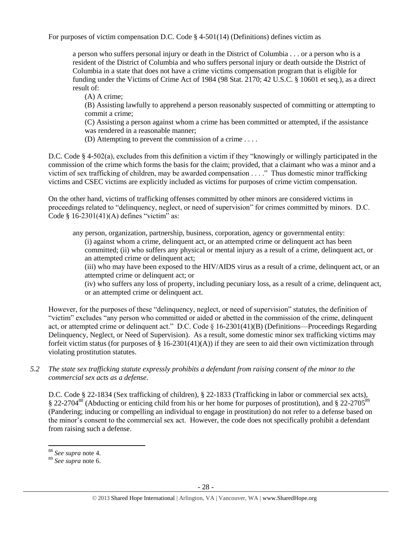For purposes of victim compensation D.C. Code § 4-501(14) (Definitions) defines victim as

a person who suffers personal injury or death in the District of Columbia . . . or a person who is a resident of the District of Columbia and who suffers personal injury or death outside the District of Columbia in a state that does not have a crime victims compensation program that is eligible for funding under the Victims of Crime Act of 1984 (98 Stat. 2170; 42 U.S.C. § 10601 et seq.), as a direct result of:

(A) A crime;

(B) Assisting lawfully to apprehend a person reasonably suspected of committing or attempting to commit a crime;

(C) Assisting a person against whom a crime has been committed or attempted, if the assistance was rendered in a reasonable manner;

(D) Attempting to prevent the commission of a crime . . . .

D.C. Code § 4-502(a), excludes from this definition a victim if they "knowingly or willingly participated in the commission of the crime which forms the basis for the claim; provided, that a claimant who was a minor and a victim of sex trafficking of children, may be awarded compensation . . . ." Thus domestic minor trafficking victims and CSEC victims are explicitly included as victims for purposes of crime victim compensation.

On the other hand, victims of trafficking offenses committed by other minors are considered victims in proceedings related to "delinquency, neglect, or need of supervision" for crimes committed by minors. D.C. Code  $§$  16-2301(41)(A) defines "victim" as:

any person, organization, partnership, business, corporation, agency or governmental entity: (i) against whom a crime, delinquent act, or an attempted crime or delinquent act has been committed; (ii) who suffers any physical or mental injury as a result of a crime, delinquent act, or an attempted crime or delinquent act;

(iii) who may have been exposed to the HIV/AIDS virus as a result of a crime, delinquent act, or an attempted crime or delinquent act; or

(iv) who suffers any loss of property, including pecuniary loss, as a result of a crime, delinquent act, or an attempted crime or delinquent act.

However, for the purposes of these "delinquency, neglect, or need of supervision" statutes, the definition of "victim" excludes "any person who committed or aided or abetted in the commission of the crime, delinquent act, or attempted crime or delinquent act." D.C. Code § 16-2301(41)(B) (Definitions—Proceedings Regarding Delinquency, Neglect, or Need of Supervision). As a result, some domestic minor sex trafficking victims may forfeit victim status (for purposes of § 16-2301(41)(A)) if they are seen to aid their own victimization through violating prostitution statutes.

*5.2 The state sex trafficking statute expressly prohibits a defendant from raising consent of the minor to the commercial sex acts as a defense.*

D.C. Code § 22-1834 (Sex trafficking of children), § 22-1833 (Trafficking in labor or commercial sex acts), § 22-2704<sup>88</sup> (Abducting or enticing child from his or her home for purposes of prostitution), and § 22-2705<sup>89</sup> (Pandering; inducing or compelling an individual to engage in prostitution) do not refer to a defense based on the minor's consent to the commercial sex act. However, the code does not specifically prohibit a defendant from raising such a defense.

 $\overline{a}$ 

<sup>88</sup> *See supra* note [4.](#page-1-2)

<sup>89</sup> *See supra* note [6.](#page-1-1)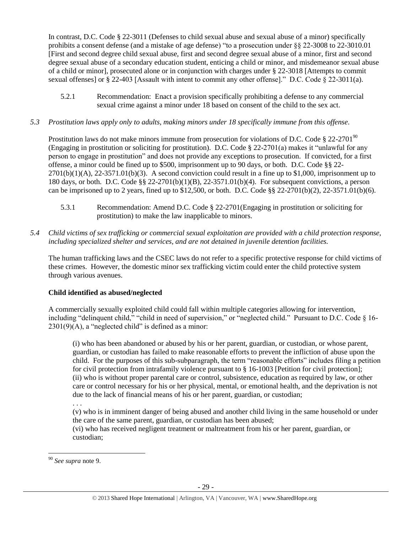In contrast, D.C. Code § 22-3011 (Defenses to child sexual abuse and sexual abuse of a minor) specifically prohibits a consent defense (and a mistake of age defense) "to a prosecution under §§ 22-3008 to 22-3010.01 [First and second degree child sexual abuse, first and second degree sexual abuse of a minor, first and second degree sexual abuse of a secondary education student, enticing a child or minor, and misdemeanor sexual abuse of a child or minor], prosecuted alone or in conjunction with charges under § 22-3018 [Attempts to commit sexual offenses] or § 22-403 [Assault with intent to commit any other offense]." D.C. Code § 22-3011(a).

- 5.2.1 Recommendation: Enact a provision specifically prohibiting a defense to any commercial sexual crime against a minor under 18 based on consent of the child to the sex act.
- *5.3 Prostitution laws apply only to adults, making minors under 18 specifically immune from this offense.*

Prostitution laws do not make minors immune from prosecution for violations of D.C. Code  $\S 22-2701\textsuperscript{90}$ (Engaging in prostitution or soliciting for prostitution). D.C. Code  $\S 22-2701(a)$  makes it "unlawful for any person to engage in prostitution" and does not provide any exceptions to prosecution. If convicted, for a first offense, a minor could be fined up to \$500, imprisonment up to 90 days, or both. D.C. Code §§ 22-  $2701(b)(1)(A)$ ,  $22-3571.01(b)(3)$ . A second conviction could result in a fine up to \$1,000, imprisonment up to 180 days, or both. D.C. Code §§ 22-2701(b)(1)(B), 22-3571.01(b)(4). For subsequent convictions, a person can be imprisoned up to 2 years, fined up to \$12,500, or both. D.C. Code  $\S$  22-2701(b)(2), 22-3571.01(b)(6).

- 5.3.1 Recommendation: Amend D.C. Code § 22-2701(Engaging in prostitution or soliciting for prostitution) to make the law inapplicable to minors.
- *5.4 Child victims of sex trafficking or commercial sexual exploitation are provided with a child protection response, including specialized shelter and services, and are not detained in juvenile detention facilities.*

The human trafficking laws and the CSEC laws do not refer to a specific protective response for child victims of these crimes. However, the domestic minor sex trafficking victim could enter the child protective system through various avenues.

# **Child identified as abused/neglected**

A commercially sexually exploited child could fall within multiple categories allowing for intervention, including "delinquent child," "child in need of supervision," or "neglected child." Pursuant to D.C. Code § 16-  $2301(9)$ (A), a "neglected child" is defined as a minor:

(i) who has been abandoned or abused by his or her parent, guardian, or custodian, or whose parent, guardian, or custodian has failed to make reasonable efforts to prevent the infliction of abuse upon the child. For the purposes of this sub-subparagraph, the term "reasonable efforts" includes filing a petition for civil protection from intrafamily violence pursuant to § 16-1003 [Petition for civil protection]; (ii) who is without proper parental care or control, subsistence, education as required by law, or other care or control necessary for his or her physical, mental, or emotional health, and the deprivation is not due to the lack of financial means of his or her parent, guardian, or custodian;

(v) who is in imminent danger of being abused and another child living in the same household or under the care of the same parent, guardian, or custodian has been abused;

(vi) who has received negligent treatment or maltreatment from his or her parent, guardian, or custodian;

<sup>. . .</sup>

 $\overline{\phantom{a}}$ <sup>90</sup> *See supra* note [9.](#page-2-0)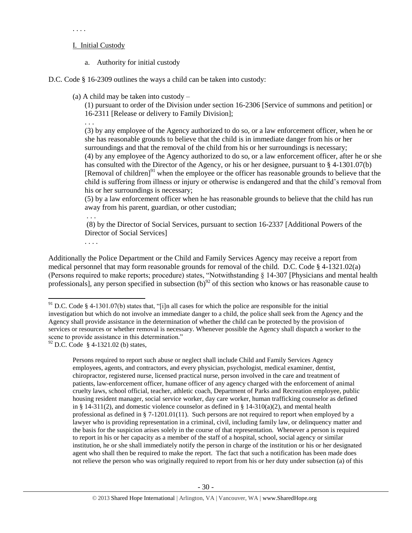#### . . . .

### I. Initial Custody

a. Authority for initial custody

D.C. Code § 16-2309 outlines the ways a child can be taken into custody:

(a) A child may be taken into custody –

(1) pursuant to order of the Division under section 16-2306 [Service of summons and petition] or 16-2311 [Release or delivery to Family Division];

. . .

(3) by any employee of the Agency authorized to do so, or a law enforcement officer, when he or she has reasonable grounds to believe that the child is in immediate danger from his or her surroundings and that the removal of the child from his or her surroundings is necessary; (4) by any employee of the Agency authorized to do so, or a law enforcement officer, after he or she has consulted with the Director of the Agency, or his or her designee, pursuant to § 4-1301.07(b) [Removal of children]<sup>91</sup> when the employee or the officer has reasonable grounds to believe that the child is suffering from illness or injury or otherwise is endangered and that the child's removal from his or her surroundings is necessary;

(5) by a law enforcement officer when he has reasonable grounds to believe that the child has run away from his parent, guardian, or other custodian;

. . .

(8) by the Director of Social Services, pursuant to section 16-2337 [Additional Powers of the Director of Social Services]

. . . .

 $\overline{\phantom{a}}$ 

Additionally the Police Department or the Child and Family Services Agency may receive a report from medical personnel that may form reasonable grounds for removal of the child. D.C. Code § 4-1321.02(a) (Persons required to make reports; procedure) states, "Notwithstanding § 14-307 [Physicians and mental health professionals], any person specified in subsection  $(b)^{92}$  of this section who knows or has reasonable cause to

Persons required to report such abuse or neglect shall include Child and Family Services Agency employees, agents, and contractors, and every physician, psychologist, medical examiner, dentist, chiropractor, registered nurse, licensed practical nurse, person involved in the care and treatment of patients, law-enforcement officer, humane officer of any agency charged with the enforcement of animal cruelty laws, school official, teacher, athletic coach, Department of Parks and Recreation employee, public housing resident manager, social service worker, day care worker, human trafficking counselor as defined in § 14-311(2), and domestic violence counselor as defined in § 14-310(a)(2), and mental health professional as defined in § 7-1201.01(11). Such persons are not required to report when employed by a lawyer who is providing representation in a criminal, civil, including family law, or delinquency matter and the basis for the suspicion arises solely in the course of that representation. Whenever a person is required to report in his or her capacity as a member of the staff of a hospital, school, social agency or similar institution, he or she shall immediately notify the person in charge of the institution or his or her designated agent who shall then be required to make the report. The fact that such a notification has been made does not relieve the person who was originally required to report from his or her duty under subsection (a) of this

<sup>&</sup>lt;sup>91</sup> D.C. Code § 4-1301.07(b) states that, "[i]n all cases for which the police are responsible for the initial investigation but which do not involve an immediate danger to a child, the police shall seek from the Agency and the Agency shall provide assistance in the determination of whether the child can be protected by the provision of services or resources or whether removal is necessary. Whenever possible the Agency shall dispatch a worker to the scene to provide assistance in this determination."

 $92$  D.C. Code § 4-1321.02 (b) states,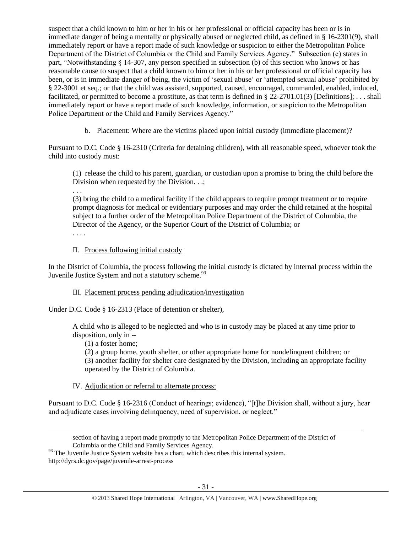suspect that a child known to him or her in his or her professional or official capacity has been or is in immediate danger of being a mentally or physically abused or neglected child, as defined in § 16-2301(9), shall immediately report or have a report made of such knowledge or suspicion to either the Metropolitan Police Department of the District of Columbia or the Child and Family Services Agency." Subsection (e) states in part, "Notwithstanding § 14-307, any person specified in subsection (b) of this section who knows or has reasonable cause to suspect that a child known to him or her in his or her professional or official capacity has been, or is in immediate danger of being, the victim of 'sexual abuse' or 'attempted sexual abuse' prohibited by § 22-3001 et seq.; or that the child was assisted, supported, caused, encouraged, commanded, enabled, induced, facilitated, or permitted to become a prostitute, as that term is defined in § 22-2701.01(3) [Definitions]; . . . shall immediately report or have a report made of such knowledge, information, or suspicion to the Metropolitan Police Department or the Child and Family Services Agency."

b. Placement: Where are the victims placed upon initial custody (immediate placement)?

Pursuant to D.C. Code § 16-2310 (Criteria for detaining children), with all reasonable speed, whoever took the child into custody must:

(1) release the child to his parent, guardian, or custodian upon a promise to bring the child before the Division when requested by the Division. . .;

. . .

(3) bring the child to a medical facility if the child appears to require prompt treatment or to require prompt diagnosis for medical or evidentiary purposes and may order the child retained at the hospital subject to a further order of the Metropolitan Police Department of the District of Columbia, the Director of the Agency, or the Superior Court of the District of Columbia; or

. . . .

 $\overline{a}$ 

# II. Process following initial custody

In the District of Columbia, the process following the initial custody is dictated by internal process within the Juvenile Justice System and not a statutory scheme.<sup>93</sup>

# III. Placement process pending adjudication/investigation

Under D.C. Code § 16-2313 (Place of detention or shelter),

A child who is alleged to be neglected and who is in custody may be placed at any time prior to disposition, only in --

(1) a foster home;

(2) a group home, youth shelter, or other appropriate home for nondelinquent children; or (3) another facility for shelter care designated by the Division, including an appropriate facility operated by the District of Columbia.

# IV. Adjudication or referral to alternate process:

Pursuant to D.C. Code § 16-2316 (Conduct of hearings; evidence), "[t]he Division shall, without a jury, hear and adjudicate cases involving delinquency, need of supervision, or neglect."

http://dyrs.dc.gov/page/juvenile-arrest-process

section of having a report made promptly to the Metropolitan Police Department of the District of Columbia or the Child and Family Services Agency.

 $93$  The Juvenile Justice System website has a chart, which describes this internal system.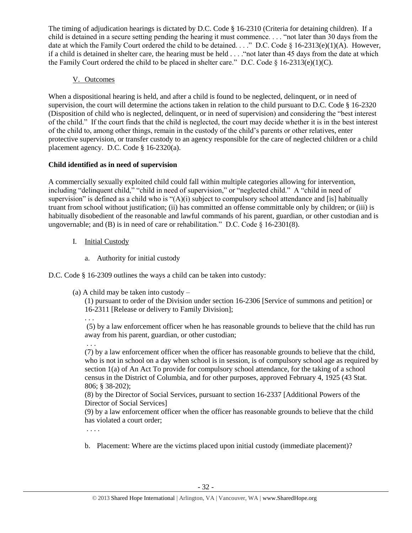The timing of adjudication hearings is dictated by D.C. Code § 16-2310 (Criteria for detaining children). If a child is detained in a secure setting pending the hearing it must commence. . . . "not later than 30 days from the date at which the Family Court ordered the child to be detained. . . ." D.C. Code § 16-2313(e)(1)(A). However, if a child is detained in shelter care, the hearing must be held . . . ."not later than 45 days from the date at which the Family Court ordered the child to be placed in shelter care." D.C. Code  $\S$  16-2313(e)(1)(C).

V. Outcomes

When a dispositional hearing is held, and after a child is found to be neglected, delinquent, or in need of supervision, the court will determine the actions taken in relation to the child pursuant to D.C. Code § 16-2320 (Disposition of child who is neglected, delinquent, or in need of supervision) and considering the "best interest of the child." If the court finds that the child is neglected, the court may decide whether it is in the best interest of the child to, among other things, remain in the custody of the child's parents or other relatives, enter protective supervision, or transfer custody to an agency responsible for the care of neglected children or a child placement agency. D.C. Code § 16-2320(a).

# **Child identified as in need of supervision**

A commercially sexually exploited child could fall within multiple categories allowing for intervention, including "delinquent child," "child in need of supervision," or "neglected child." A "child in need of supervision" is defined as a child who is "(A)(i) subject to compulsory school attendance and [is] habitually truant from school without justification; (ii) has committed an offense committable only by children; or (iii) is habitually disobedient of the reasonable and lawful commands of his parent, guardian, or other custodian and is ungovernable; and (B) is in need of care or rehabilitation." D.C. Code § 16-2301(8).

- I. Initial Custody
	- a. Authority for initial custody

D.C. Code § 16-2309 outlines the ways a child can be taken into custody:

(a) A child may be taken into custody –

(1) pursuant to order of the Division under section 16-2306 [Service of summons and petition] or 16-2311 [Release or delivery to Family Division];

(5) by a law enforcement officer when he has reasonable grounds to believe that the child has run away from his parent, guardian, or other custodian;

. . . (7) by a law enforcement officer when the officer has reasonable grounds to believe that the child, who is not in school on a day when school is in session, is of compulsory school age as required by section 1(a) of An Act To provide for compulsory school attendance, for the taking of a school census in the District of Columbia, and for other purposes, approved February 4, 1925 (43 Stat. 806; § 38-202);

(8) by the Director of Social Services, pursuant to section 16-2337 [Additional Powers of the Director of Social Services]

(9) by a law enforcement officer when the officer has reasonable grounds to believe that the child has violated a court order;

. . . .

. . .

b. Placement: Where are the victims placed upon initial custody (immediate placement)?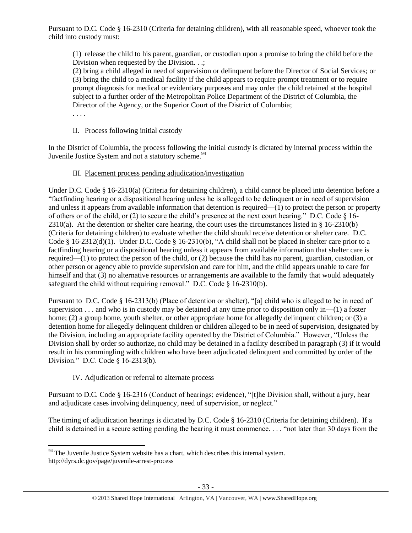Pursuant to D.C. Code § 16-2310 (Criteria for detaining children), with all reasonable speed, whoever took the child into custody must:

(1) release the child to his parent, guardian, or custodian upon a promise to bring the child before the Division when requested by the Division. . .;

(2) bring a child alleged in need of supervision or delinquent before the Director of Social Services; or (3) bring the child to a medical facility if the child appears to require prompt treatment or to require prompt diagnosis for medical or evidentiary purposes and may order the child retained at the hospital subject to a further order of the Metropolitan Police Department of the District of Columbia, the Director of the Agency, or the Superior Court of the District of Columbia;

. . . .

 $\overline{a}$ 

### II. Process following initial custody

In the District of Columbia, the process following the initial custody is dictated by internal process within the Juvenile Justice System and not a statutory scheme.<sup>94</sup>

# III. Placement process pending adjudication/investigation

Under D.C. Code § 16-2310(a) (Criteria for detaining children), a child cannot be placed into detention before a "factfinding hearing or a dispositional hearing unless he is alleged to be delinquent or in need of supervision and unless it appears from available information that detention is required—(1) to protect the person or property of others or of the child, or (2) to secure the child's presence at the next court hearing." D.C. Code  $\S$  16- $2310(a)$ . At the detention or shelter care hearing, the court uses the circumstances listed in § 16-2310(b) (Criteria for detaining children) to evaluate whether the child should receive detention or shelter care. D.C. Code § 16-2312(d)(1). Under D.C. Code § 16-2310(b), "A child shall not be placed in shelter care prior to a factfinding hearing or a dispositional hearing unless it appears from available information that shelter care is required—(1) to protect the person of the child, or (2) because the child has no parent, guardian, custodian, or other person or agency able to provide supervision and care for him, and the child appears unable to care for himself and that (3) no alternative resources or arrangements are available to the family that would adequately safeguard the child without requiring removal." D.C. Code  $\S$  16-2310(b).

Pursuant to D.C. Code § 16-2313(b) (Place of detention or shelter), "[a] child who is alleged to be in need of supervision . . . and who is in custody may be detained at any time prior to disposition only in—(1) a foster home; (2) a group home, youth shelter, or other appropriate home for allegedly delinquent children; or (3) a detention home for allegedly delinquent children or children alleged to be in need of supervision, designated by the Division, including an appropriate facility operated by the District of Columbia." However, "Unless the Division shall by order so authorize, no child may be detained in a facility described in paragraph (3) if it would result in his commingling with children who have been adjudicated delinquent and committed by order of the Division." D.C. Code § 16-2313(b).

# IV. Adjudication or referral to alternate process

Pursuant to D.C. Code § 16-2316 (Conduct of hearings; evidence), "[t]he Division shall, without a jury, hear and adjudicate cases involving delinquency, need of supervision, or neglect."

The timing of adjudication hearings is dictated by D.C. Code § 16-2310 (Criteria for detaining children). If a child is detained in a secure setting pending the hearing it must commence. . . . "not later than 30 days from the

 $94$  The Juvenile Justice System website has a chart, which describes this internal system. http://dyrs.dc.gov/page/juvenile-arrest-process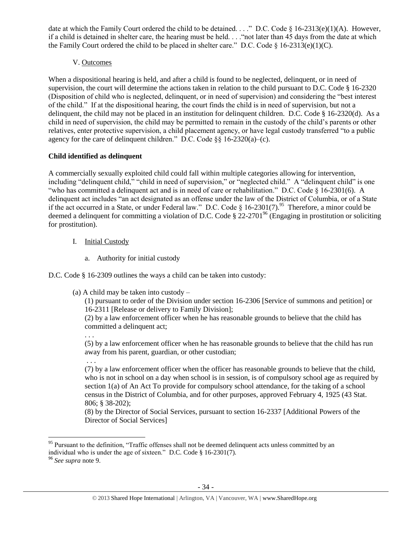date at which the Family Court ordered the child to be detained. . . ." D.C. Code § 16-2313(e)(1)(A). However, if a child is detained in shelter care, the hearing must be held. . . ."not later than 45 days from the date at which the Family Court ordered the child to be placed in shelter care." D.C. Code  $\S$  16-2313(e)(1)(C).

# V. Outcomes

When a dispositional hearing is held, and after a child is found to be neglected, delinquent, or in need of supervision, the court will determine the actions taken in relation to the child pursuant to D.C. Code § 16-2320 (Disposition of child who is neglected, delinquent, or in need of supervision) and considering the "best interest of the child." If at the dispositional hearing, the court finds the child is in need of supervision, but not a delinquent, the child may not be placed in an institution for delinquent children. D.C. Code § 16-2320(d). As a child in need of supervision, the child may be permitted to remain in the custody of the child's parents or other relatives, enter protective supervision, a child placement agency, or have legal custody transferred "to a public agency for the care of delinquent children." D.C. Code §§ 16-2320(a)–(c).

# **Child identified as delinquent**

A commercially sexually exploited child could fall within multiple categories allowing for intervention, including "delinquent child," "child in need of supervision," or "neglected child." A "delinquent child" is one "who has committed a delinquent act and is in need of care or rehabilitation." D.C. Code  $\S$  16-2301(6). A delinquent act includes "an act designated as an offense under the law of the District of Columbia, or of a State if the act occurred in a State, or under Federal law." D.C. Code § 16-2301(7).<sup>95</sup> Therefore, a minor could be deemed a delinquent for committing a violation of D.C. Code § 22-2701<sup>96</sup> (Engaging in prostitution or soliciting for prostitution).

- I. Initial Custody
	- a. Authority for initial custody

D.C. Code § 16-2309 outlines the ways a child can be taken into custody:

(a) A child may be taken into custody –

(1) pursuant to order of the Division under section 16-2306 [Service of summons and petition] or 16-2311 [Release or delivery to Family Division];

(2) by a law enforcement officer when he has reasonable grounds to believe that the child has committed a delinquent act;

. . . (5) by a law enforcement officer when he has reasonable grounds to believe that the child has run away from his parent, guardian, or other custodian;

. . .

(7) by a law enforcement officer when the officer has reasonable grounds to believe that the child, who is not in school on a day when school is in session, is of compulsory school age as required by section 1(a) of An Act To provide for compulsory school attendance, for the taking of a school census in the District of Columbia, and for other purposes, approved February 4, 1925 (43 Stat. 806; § 38-202);

(8) by the Director of Social Services, pursuant to section 16-2337 [Additional Powers of the Director of Social Services]

 $\overline{\phantom{a}}$ <sup>95</sup> Pursuant to the definition, "Traffic offenses shall not be deemed delinquent acts unless committed by an individual who is under the age of sixteen." D.C. Code § 16-2301(7).

<sup>96</sup> *See supra* note [9.](#page-2-0)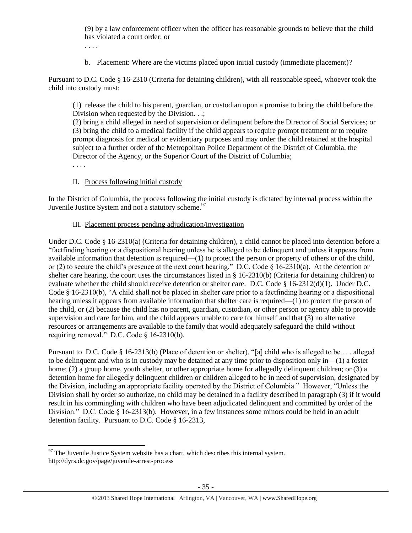(9) by a law enforcement officer when the officer has reasonable grounds to believe that the child has violated a court order; or

. . . .

b. Placement: Where are the victims placed upon initial custody (immediate placement)?

Pursuant to D.C. Code § 16-2310 (Criteria for detaining children), with all reasonable speed, whoever took the child into custody must:

(1) release the child to his parent, guardian, or custodian upon a promise to bring the child before the Division when requested by the Division. . .;

(2) bring a child alleged in need of supervision or delinquent before the Director of Social Services; or (3) bring the child to a medical facility if the child appears to require prompt treatment or to require prompt diagnosis for medical or evidentiary purposes and may order the child retained at the hospital subject to a further order of the Metropolitan Police Department of the District of Columbia, the Director of the Agency, or the Superior Court of the District of Columbia;

. . . .

### II. Process following initial custody

In the District of Columbia, the process following the initial custody is dictated by internal process within the Juvenile Justice System and not a statutory scheme. $97$ 

### III. Placement process pending adjudication/investigation

Under D.C. Code § 16-2310(a) (Criteria for detaining children), a child cannot be placed into detention before a "factfinding hearing or a dispositional hearing unless he is alleged to be delinquent and unless it appears from available information that detention is required—(1) to protect the person or property of others or of the child, or (2) to secure the child's presence at the next court hearing." D.C. Code § 16-2310(a). At the detention or shelter care hearing, the court uses the circumstances listed in  $\S$  16-2310(b) (Criteria for detaining children) to evaluate whether the child should receive detention or shelter care. D.C. Code § 16-2312(d)(1). Under D.C. Code § 16-2310(b), "A child shall not be placed in shelter care prior to a factfinding hearing or a dispositional hearing unless it appears from available information that shelter care is required—(1) to protect the person of the child, or (2) because the child has no parent, guardian, custodian, or other person or agency able to provide supervision and care for him, and the child appears unable to care for himself and that (3) no alternative resources or arrangements are available to the family that would adequately safeguard the child without requiring removal." D.C. Code § 16-2310(b).

Pursuant to D.C. Code § 16-2313(b) (Place of detention or shelter), "[a] child who is alleged to be . . . alleged to be delinquent and who is in custody may be detained at any time prior to disposition only in—(1) a foster home; (2) a group home, youth shelter, or other appropriate home for allegedly delinquent children; or (3) a detention home for allegedly delinquent children or children alleged to be in need of supervision, designated by the Division, including an appropriate facility operated by the District of Columbia." However, "Unless the Division shall by order so authorize, no child may be detained in a facility described in paragraph (3) if it would result in his commingling with children who have been adjudicated delinquent and committed by order of the Division." D.C. Code § 16-2313(b). However, in a few instances some minors could be held in an adult detention facility. Pursuant to D.C. Code § 16-2313,

 $\overline{a}$  $97$  The Juvenile Justice System website has a chart, which describes this internal system. http://dyrs.dc.gov/page/juvenile-arrest-process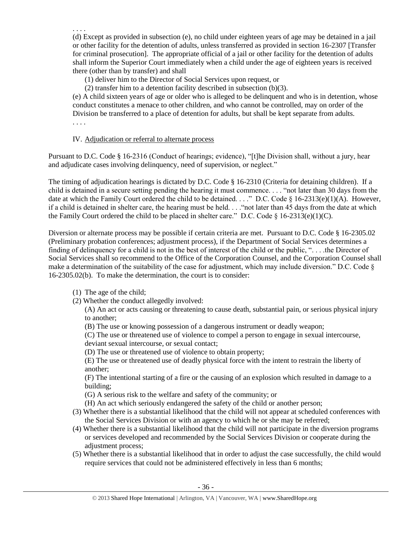(d) Except as provided in subsection (e), no child under eighteen years of age may be detained in a jail or other facility for the detention of adults, unless transferred as provided in section 16-2307 [Transfer for criminal prosecution]. The appropriate official of a jail or other facility for the detention of adults shall inform the Superior Court immediately when a child under the age of eighteen years is received there (other than by transfer) and shall

(1) deliver him to the Director of Social Services upon request, or

(2) transfer him to a detention facility described in subsection (b)(3).

(e) A child sixteen years of age or older who is alleged to be delinquent and who is in detention, whose conduct constitutes a menace to other children, and who cannot be controlled, may on order of the Division be transferred to a place of detention for adults, but shall be kept separate from adults. . . . .

# IV. Adjudication or referral to alternate process

Pursuant to D.C. Code § 16-2316 (Conduct of hearings; evidence), "[t]he Division shall, without a jury, hear and adjudicate cases involving delinquency, need of supervision, or neglect."

The timing of adjudication hearings is dictated by D.C. Code § 16-2310 (Criteria for detaining children). If a child is detained in a secure setting pending the hearing it must commence. . . . "not later than 30 days from the date at which the Family Court ordered the child to be detained. . . ." D.C. Code § 16-2313(e)(1)(A). However, if a child is detained in shelter care, the hearing must be held. . . ."not later than 45 days from the date at which the Family Court ordered the child to be placed in shelter care." D.C. Code  $\S$  16-2313(e)(1)(C).

Diversion or alternate process may be possible if certain criteria are met. Pursuant to D.C. Code § 16-2305.02 (Preliminary probation conferences; adjustment process), if the Department of Social Services determines a finding of delinquency for a child is not in the best of interest of the child or the public, ". . . .the Director of Social Services shall so recommend to the Office of the Corporation Counsel, and the Corporation Counsel shall make a determination of the suitability of the case for adjustment, which may include diversion." D.C. Code § 16-2305.02(b). To make the determination, the court is to consider:

(1) The age of the child;

. . . .

(2) Whether the conduct allegedly involved:

(A) An act or acts causing or threatening to cause death, substantial pain, or serious physical injury to another;

(B) The use or knowing possession of a dangerous instrument or deadly weapon;

(C) The use or threatened use of violence to compel a person to engage in sexual intercourse,

deviant sexual intercourse, or sexual contact;

(D) The use or threatened use of violence to obtain property;

(E) The use or threatened use of deadly physical force with the intent to restrain the liberty of another;

(F) The intentional starting of a fire or the causing of an explosion which resulted in damage to a building;

(G) A serious risk to the welfare and safety of the community; or

(H) An act which seriously endangered the safety of the child or another person;

- (3) Whether there is a substantial likelihood that the child will not appear at scheduled conferences with the Social Services Division or with an agency to which he or she may be referred;
- (4) Whether there is a substantial likelihood that the child will not participate in the diversion programs or services developed and recommended by the Social Services Division or cooperate during the adjustment process:
- (5) Whether there is a substantial likelihood that in order to adjust the case successfully, the child would require services that could not be administered effectively in less than 6 months;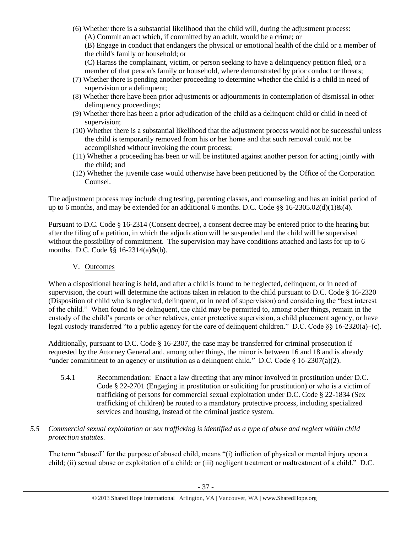(6) Whether there is a substantial likelihood that the child will, during the adjustment process: (A) Commit an act which, if committed by an adult, would be a crime; or

(B) Engage in conduct that endangers the physical or emotional health of the child or a member of the child's family or household; or

(C) Harass the complainant, victim, or person seeking to have a delinquency petition filed, or a member of that person's family or household, where demonstrated by prior conduct or threats;

- (7) Whether there is pending another proceeding to determine whether the child is a child in need of supervision or a delinquent;
- (8) Whether there have been prior adjustments or adjournments in contemplation of dismissal in other delinquency proceedings;
- (9) Whether there has been a prior adjudication of the child as a delinquent child or child in need of supervision;
- (10) Whether there is a substantial likelihood that the adjustment process would not be successful unless the child is temporarily removed from his or her home and that such removal could not be accomplished without invoking the court process;
- (11) Whether a proceeding has been or will be instituted against another person for acting jointly with the child; and
- (12) Whether the juvenile case would otherwise have been petitioned by the Office of the Corporation Counsel.

The adjustment process may include drug testing, parenting classes, and counseling and has an initial period of up to 6 months, and may be extended for an additional 6 months. D.C. Code §§ 16-2305.02(d)(1)&(4).

Pursuant to D.C. Code § 16-2314 (Consent decree), a consent decree may be entered prior to the hearing but after the filing of a petition, in which the adjudication will be suspended and the child will be supervised without the possibility of commitment. The supervision may have conditions attached and lasts for up to 6 months. D.C. Code §§ 16-2314(a)&(b).

V. Outcomes

When a dispositional hearing is held, and after a child is found to be neglected, delinquent, or in need of supervision, the court will determine the actions taken in relation to the child pursuant to D.C. Code § 16-2320 (Disposition of child who is neglected, delinquent, or in need of supervision) and considering the "best interest of the child." When found to be delinquent, the child may be permitted to, among other things, remain in the custody of the child's parents or other relatives, enter protective supervision, a child placement agency, or have legal custody transferred "to a public agency for the care of delinquent children." D.C. Code §§ 16-2320(a)–(c).

Additionally, pursuant to D.C. Code § 16-2307, the case may be transferred for criminal prosecution if requested by the Attorney General and, among other things, the minor is between 16 and 18 and is already "under commitment to an agency or institution as a delinquent child." D.C. Code § 16-2307(a)(2).

- 5.4.1 Recommendation: Enact a law directing that any minor involved in prostitution under D.C. Code § 22-2701 (Engaging in prostitution or soliciting for prostitution) or who is a victim of trafficking of persons for commercial sexual exploitation under D.C. Code § 22-1834 (Sex trafficking of children) be routed to a mandatory protective process, including specialized services and housing, instead of the criminal justice system.
- *5.5 Commercial sexual exploitation or sex trafficking is identified as a type of abuse and neglect within child protection statutes.*

The term "abused" for the purpose of abused child, means "(i) infliction of physical or mental injury upon a child; (ii) sexual abuse or exploitation of a child; or (iii) negligent treatment or maltreatment of a child." D.C.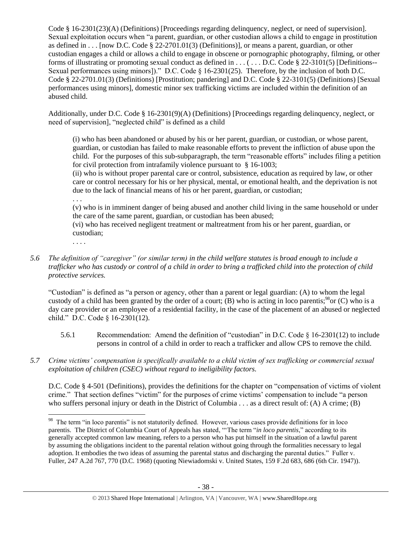Code § 16-2301(23)(A) (Definitions) [Proceedings regarding delinquency, neglect, or need of supervision]. Sexual exploitation occurs when "a parent, guardian, or other custodian allows a child to engage in prostitution as defined in  $\dots$  [now D.C. Code § 22-2701.01(3) (Definitions)], or means a parent, guardian, or other custodian engages a child or allows a child to engage in obscene or pornographic photography, filming, or other forms of illustrating or promoting sexual conduct as defined in  $\dots$  ( $\dots$  D.C. Code § 22-3101(5) [Definitions--Sexual performances using minors])." D.C. Code § 16-2301(25). Therefore, by the inclusion of both D.C. Code § 22-2701.01(3) (Definitions) [Prostitution; pandering] and D.C. Code § 22-3101(5) (Definitions) [Sexual performances using minors], domestic minor sex trafficking victims are included within the definition of an abused child.

Additionally, under D.C. Code  $\S$  16-2301(9)(A) (Definitions) [Proceedings regarding delinquency, neglect, or need of supervision], "neglected child" is defined as a child

(i) who has been abandoned or abused by his or her parent, guardian, or custodian, or whose parent, guardian, or custodian has failed to make reasonable efforts to prevent the infliction of abuse upon the child. For the purposes of this sub-subparagraph, the term "reasonable efforts" includes filing a petition for civil protection from intrafamily violence pursuant to § 16-1003;

(ii) who is without proper parental care or control, subsistence, education as required by law, or other care or control necessary for his or her physical, mental, or emotional health, and the deprivation is not due to the lack of financial means of his or her parent, guardian, or custodian;

. . .

(v) who is in imminent danger of being abused and another child living in the same household or under the care of the same parent, guardian, or custodian has been abused;

(vi) who has received negligent treatment or maltreatment from his or her parent, guardian, or custodian;

- . . . .
- *5.6 The definition of "caregiver" (or similar term) in the child welfare statutes is broad enough to include a trafficker who has custody or control of a child in order to bring a trafficked child into the protection of child protective services.*

"Custodian" is defined as "a person or agency, other than a parent or legal guardian: (A) to whom the legal custody of a child has been granted by the order of a court; (B) who is acting in loco parentis;<sup>98</sup>or (C) who is a day care provider or an employee of a residential facility, in the case of the placement of an abused or neglected child." D.C. Code § 16-2301(12).

- 5.6.1 Recommendation: Amend the definition of "custodian" in D.C. Code § 16-2301(12) to include persons in control of a child in order to reach a trafficker and allow CPS to remove the child.
- *5.7 Crime victims' compensation is specifically available to a child victim of sex trafficking or commercial sexual exploitation of children (CSEC) without regard to ineligibility factors.*

D.C. Code § 4-501 (Definitions), provides the definitions for the chapter on "compensation of victims of violent crime." That section defines "victim" for the purposes of crime victims' compensation to include "a person who suffers personal injury or death in the District of Columbia . . . as a direct result of: (A) A crime; (B)

 $\overline{\phantom{a}}$ <sup>98</sup> The term "in loco parentis" is not statutorily defined. However, various cases provide definitions for in loco parentis. The District of Columbia Court of Appeals has stated, "'The term "*in loco parentis*," according to its generally accepted common law meaning, refers to a person who has put himself in the situation of a lawful parent by assuming the obligations incident to the parental relation without going through the formalities necessary to legal adoption. It embodies the two ideas of assuming the parental status and discharging the parental duties." Fuller v. Fuller, 247 A.2d 767, 770 (D.C. 1968) (quoting Niewiadomski v. United States, 159 F.2d 683, 686 (6th Cir. 1947)).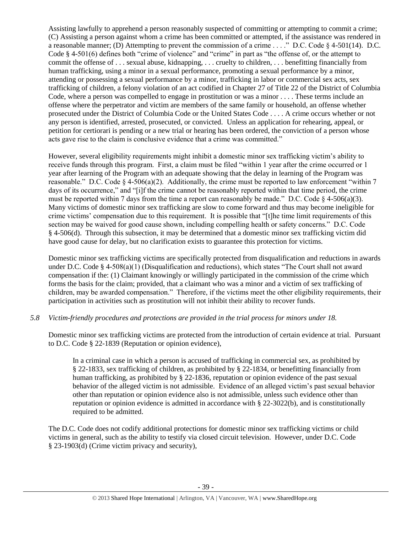Assisting lawfully to apprehend a person reasonably suspected of committing or attempting to commit a crime; (C) Assisting a person against whom a crime has been committed or attempted, if the assistance was rendered in a reasonable manner; (D) Attempting to prevent the commission of a crime . . . ." D.C. Code § 4-501(14). D.C. Code § 4-501(6) defines both "crime of violence" and "crime" in part as "the offense of, or the attempt to commit the offense of . . . sexual abuse, kidnapping, . . . cruelty to children, . . . benefitting financially from human trafficking, using a minor in a sexual performance, promoting a sexual performance by a minor, attending or possessing a sexual performance by a minor, trafficking in labor or commercial sex acts, sex trafficking of children, a felony violation of an act codified in Chapter 27 of Title 22 of the District of Columbia Code, where a person was compelled to engage in prostitution or was a minor . . . . These terms include an offense where the perpetrator and victim are members of the same family or household, an offense whether prosecuted under the District of Columbia Code or the United States Code . . . . A crime occurs whether or not any person is identified, arrested, prosecuted, or convicted. Unless an application for rehearing, appeal, or petition for certiorari is pending or a new trial or hearing has been ordered, the conviction of a person whose acts gave rise to the claim is conclusive evidence that a crime was committed."

However, several eligibility requirements might inhibit a domestic minor sex trafficking victim's ability to receive funds through this program. First, a claim must be filed "within 1 year after the crime occurred or 1 year after learning of the Program with an adequate showing that the delay in learning of the Program was reasonable." D.C. Code  $\S 4-506(a)(2)$ . Additionally, the crime must be reported to law enforcement "within 7 days of its occurrence," and "[i]f the crime cannot be reasonably reported within that time period, the crime must be reported within 7 days from the time a report can reasonably be made." D.C. Code  $\S$  4-506(a)(3). Many victims of domestic minor sex trafficking are slow to come forward and thus may become ineligible for crime victims' compensation due to this requirement. It is possible that "[t]he time limit requirements of this section may be waived for good cause shown, including compelling health or safety concerns." D.C. Code § 4-506(d). Through this subsection, it may be determined that a domestic minor sex trafficking victim did have good cause for delay, but no clarification exists to guarantee this protection for victims.

Domestic minor sex trafficking victims are specifically protected from disqualification and reductions in awards under D.C. Code § 4-508(a)(1) (Disqualification and reductions), which states "The Court shall not award compensation if the: (1) Claimant knowingly or willingly participated in the commission of the crime which forms the basis for the claim; provided, that a claimant who was a minor and a victim of sex trafficking of children, may be awarded compensation." Therefore, if the victims meet the other eligibility requirements, their participation in activities such as prostitution will not inhibit their ability to recover funds.

# *5.8 Victim-friendly procedures and protections are provided in the trial process for minors under 18.*

Domestic minor sex trafficking victims are protected from the introduction of certain evidence at trial. Pursuant to D.C. Code § 22-1839 (Reputation or opinion evidence),

In a criminal case in which a person is accused of trafficking in commercial sex, as prohibited by § 22-1833, sex trafficking of children, as prohibited by § 22-1834, or benefitting financially from human trafficking, as prohibited by § 22-1836, reputation or opinion evidence of the past sexual behavior of the alleged victim is not admissible. Evidence of an alleged victim's past sexual behavior other than reputation or opinion evidence also is not admissible, unless such evidence other than reputation or opinion evidence is admitted in accordance with § 22-3022(b), and is constitutionally required to be admitted.

The D.C. Code does not codify additional protections for domestic minor sex trafficking victims or child victims in general, such as the ability to testify via closed circuit television. However, under D.C. Code § 23-1903(d) (Crime victim privacy and security),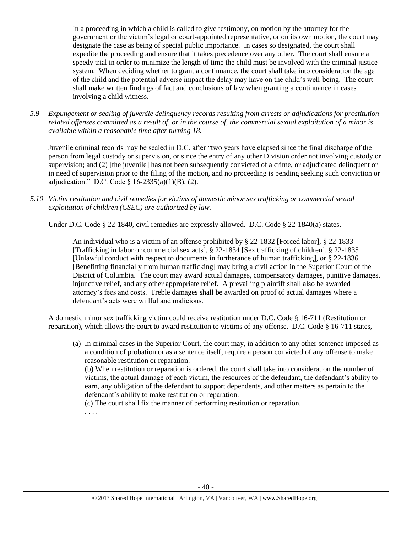In a proceeding in which a child is called to give testimony, on motion by the attorney for the government or the victim's legal or court-appointed representative, or on its own motion, the court may designate the case as being of special public importance. In cases so designated, the court shall expedite the proceeding and ensure that it takes precedence over any other. The court shall ensure a speedy trial in order to minimize the length of time the child must be involved with the criminal justice system. When deciding whether to grant a continuance, the court shall take into consideration the age of the child and the potential adverse impact the delay may have on the child's well-being. The court shall make written findings of fact and conclusions of law when granting a continuance in cases involving a child witness.

*5.9 Expungement or sealing of juvenile delinquency records resulting from arrests or adjudications for prostitutionrelated offenses committed as a result of, or in the course of, the commercial sexual exploitation of a minor is available within a reasonable time after turning 18.*

Juvenile criminal records may be sealed in D.C. after "two years have elapsed since the final discharge of the person from legal custody or supervision, or since the entry of any other Division order not involving custody or supervision; and (2) [the juvenile] has not been subsequently convicted of a crime, or adjudicated delinquent or in need of supervision prior to the filing of the motion, and no proceeding is pending seeking such conviction or adjudication." D.C. Code  $\S$  16-2335(a)(1)(B), (2).

*5.10 Victim restitution and civil remedies for victims of domestic minor sex trafficking or commercial sexual exploitation of children (CSEC) are authorized by law.* 

Under D.C. Code § 22-1840, civil remedies are expressly allowed. D.C. Code § 22-1840(a) states,

An individual who is a victim of an offense prohibited by [§ 22-1832](http://www.lexis.com/research/buttonTFLink?_m=07a112f99e7b8fc566d4fcb4c9fa62a8&_xfercite=%3ccite%20cc%3d%22USA%22%3e%3c%21%5bCDATA%5bD.C.%20Code%20%a7%2022-1840%5d%5d%3e%3c%2fcite%3e&_butType=4&_butStat=0&_butNum=2&_butInline=1&_butinfo=DCCODE%2022-1832&_fmtstr=FULL&docnum=1&_startdoc=1&wchp=dGLzVzz-zSkAA&_md5=d09117c980fc6ae3a7b6bc3a56660f67) [Forced labor], [§ 22-1833](http://www.lexis.com/research/buttonTFLink?_m=07a112f99e7b8fc566d4fcb4c9fa62a8&_xfercite=%3ccite%20cc%3d%22USA%22%3e%3c%21%5bCDATA%5bD.C.%20Code%20%a7%2022-1840%5d%5d%3e%3c%2fcite%3e&_butType=4&_butStat=0&_butNum=3&_butInline=1&_butinfo=DCCODE%2022-1833&_fmtstr=FULL&docnum=1&_startdoc=1&wchp=dGLzVzz-zSkAA&_md5=b996211e6beb44df20c43519df6654e6) [Trafficking in labor or commercial sex acts], [§ 22-1834](http://www.lexis.com/research/buttonTFLink?_m=07a112f99e7b8fc566d4fcb4c9fa62a8&_xfercite=%3ccite%20cc%3d%22USA%22%3e%3c%21%5bCDATA%5bD.C.%20Code%20%a7%2022-1840%5d%5d%3e%3c%2fcite%3e&_butType=4&_butStat=0&_butNum=4&_butInline=1&_butinfo=DCCODE%2022-1834&_fmtstr=FULL&docnum=1&_startdoc=1&wchp=dGLzVzz-zSkAA&_md5=a5557eeba140e1bcab6b6dc9c7f4621d) [Sex trafficking of children], [§ 22-1835](http://www.lexis.com/research/buttonTFLink?_m=07a112f99e7b8fc566d4fcb4c9fa62a8&_xfercite=%3ccite%20cc%3d%22USA%22%3e%3c%21%5bCDATA%5bD.C.%20Code%20%a7%2022-1840%5d%5d%3e%3c%2fcite%3e&_butType=4&_butStat=0&_butNum=5&_butInline=1&_butinfo=DCCODE%2022-1835&_fmtstr=FULL&docnum=1&_startdoc=1&wchp=dGLzVzz-zSkAA&_md5=90f235c81fba6d5127da38fd762ebe2a) [Unlawful conduct with respect to documents in furtherance of human trafficking], or [§ 22-1836](http://www.lexis.com/research/buttonTFLink?_m=07a112f99e7b8fc566d4fcb4c9fa62a8&_xfercite=%3ccite%20cc%3d%22USA%22%3e%3c%21%5bCDATA%5bD.C.%20Code%20%a7%2022-1840%5d%5d%3e%3c%2fcite%3e&_butType=4&_butStat=0&_butNum=6&_butInline=1&_butinfo=DCCODE%2022-1836&_fmtstr=FULL&docnum=1&_startdoc=1&wchp=dGLzVzz-zSkAA&_md5=e9ef8b950cc329647e4a5bc7da987e65) [Benefitting financially from human trafficking] may bring a civil action in the Superior Court of the District of Columbia. The court may award actual damages, compensatory damages, punitive damages, injunctive relief, and any other appropriate relief. A prevailing plaintiff shall also be awarded attorney's fees and costs. Treble damages shall be awarded on proof of actual damages where a defendant's acts were willful and malicious.

A domestic minor sex trafficking victim could receive restitution under D.C. Code § 16-711 (Restitution or reparation), which allows the court to award restitution to victims of any offense. D.C. Code § 16-711 states,

(a) In criminal cases in the Superior Court, the court may, in addition to any other sentence imposed as a condition of probation or as a sentence itself, require a person convicted of any offense to make reasonable restitution or reparation. (b) When restitution or reparation is ordered, the court shall take into consideration the number of victims, the actual damage of each victim, the resources of the defendant, the defendant's ability to earn, any obligation of the defendant to support dependents, and other matters as pertain to the defendant's ability to make restitution or reparation. (c) The court shall fix the manner of performing restitution or reparation. . . . .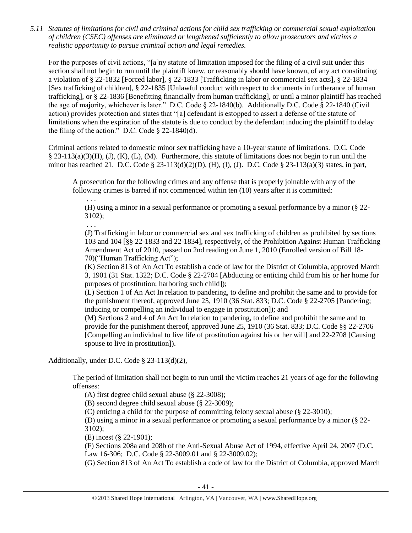*5.11 Statutes of limitations for civil and criminal actions for child sex trafficking or commercial sexual exploitation of children (CSEC) offenses are eliminated or lengthened sufficiently to allow prosecutors and victims a realistic opportunity to pursue criminal action and legal remedies.*

For the purposes of civil actions, "[a]ny statute of limitation imposed for the filing of a civil suit under this section shall not begin to run until the plaintiff knew, or reasonably should have known, of any act constituting a violation of § 22-1832 [Forced labor], § 22-1833 [Trafficking in labor or commercial sex acts], § 22-1834 [Sex trafficking of children], § 22-1835 [Unlawful conduct with respect to documents in furtherance of human trafficking], or § 22-1836 [Benefitting financially from human trafficking], or until a minor plaintiff has reached the age of majority, whichever is later." D.C. Code § 22-1840(b). Additionally D.C. Code § 22-1840 (Civil action) provides protection and states that "[a] defendant is estopped to assert a defense of the statute of limitations when the expiration of the statute is due to conduct by the defendant inducing the plaintiff to delay the filing of the action." D.C. Code  $\S$  22-1840(d).

Criminal actions related to domestic minor sex trafficking have a 10-year statute of limitations. D.C. Code § 23-113(a)(3)(H), (J), (K), (L), (M). Furthermore, this statute of limitations does not begin to run until the minor has reached 21. D.C. Code § 23-113(d)(2)(D), (H), (I), (J). D.C. Code § 23-113(a)(3) states, in part,

A prosecution for the following crimes and any offense that is properly joinable with any of the following crimes is barred if not commenced within ten (10) years after it is committed:

. . . (H) using a minor in a sexual performance or promoting a sexual performance by a minor (§ 22- 3102);

. . .

(J) Trafficking in labor or commercial sex and sex trafficking of children as prohibited by sections 103 and 104 [§§ 22-1833 and 22-1834], respectively, of the Prohibition Against Human Trafficking Amendment Act of 2010, passed on 2nd reading on June 1, 2010 (Enrolled version of Bill 18- 70)("Human Trafficking Act");

(K) Section 813 of An Act To establish a code of law for the District of Columbia, approved March 3, 1901 (31 Stat. 1322; D.C. Code § 22-2704 [Abducting or enticing child from his or her home for purposes of prostitution; harboring such child]);

(L) Section 1 of An Act In relation to pandering, to define and prohibit the same and to provide for the punishment thereof, approved June 25, 1910 (36 Stat. 833; D.C. Code § 22-2705 [Pandering; inducing or compelling an individual to engage in prostitution]); and

(M) Sections 2 and 4 of An Act In relation to pandering, to define and prohibit the same and to provide for the punishment thereof, approved June 25, 1910 (36 Stat. 833; D.C. Code §§ 22-2706 [Compelling an individual to live life of prostitution against his or her will] and 22-2708 [Causing spouse to live in prostitution]).

Additionally, under D.C. Code § 23-113(d)(2),

The period of limitation shall not begin to run until the victim reaches 21 years of age for the following offenses:

(A) first degree child sexual abuse (§ 22-3008);

(B) second degree child sexual abuse (§ 22-3009);

(C) enticing a child for the purpose of committing felony sexual abuse (§ 22-3010);

(D) using a minor in a sexual performance or promoting a sexual performance by a minor (§ 22- 3102);

(E) incest (§ 22-1901);

(F) Sections 208a and 208b of the Anti-Sexual Abuse Act of 1994, effective April 24, 2007 (D.C. Law 16-306; D.C. Code § 22-3009.01 and § 22-3009.02);

(G) Section 813 of An Act To establish a code of law for the District of Columbia, approved March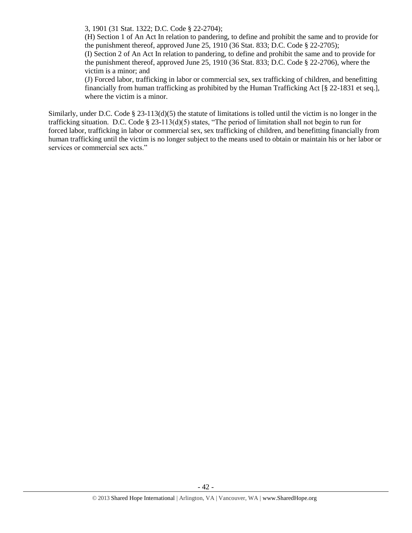3, 1901 (31 Stat. 1322; D.C. Code § 22-2704);

(H) Section 1 of An Act In relation to pandering, to define and prohibit the same and to provide for the punishment thereof, approved June 25, 1910 (36 Stat. 833; D.C. Code  $\S$  22-2705);

(I) Section 2 of An Act In relation to pandering, to define and prohibit the same and to provide for the punishment thereof, approved June 25, 1910 (36 Stat. 833; D.C. Code § 22-2706), where the victim is a minor; and

(J) Forced labor, trafficking in labor or commercial sex, sex trafficking of children, and benefitting financially from human trafficking as prohibited by the Human Trafficking Act [§ 22-1831 et seq.], where the victim is a minor.

Similarly, under D.C. Code  $\S 23-113(d)(5)$  the statute of limitations is tolled until the victim is no longer in the trafficking situation. D.C. Code § 23-113(d)(5) states, "The period of limitation shall not begin to run for forced labor, trafficking in labor or commercial sex, sex trafficking of children, and benefitting financially from human trafficking until the victim is no longer subject to the means used to obtain or maintain his or her labor or services or commercial sex acts."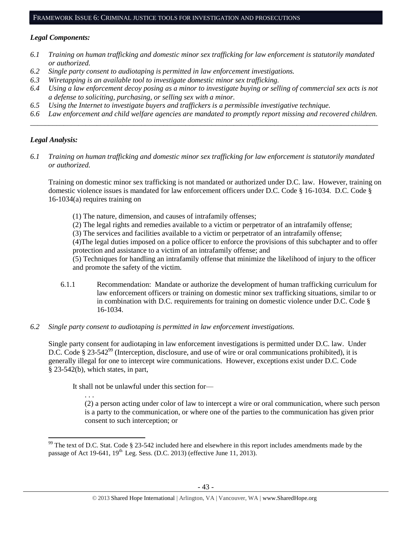#### FRAMEWORK ISSUE 6: CRIMINAL JUSTICE TOOLS FOR INVESTIGATION AND PROSECUTIONS

### *Legal Components:*

- *6.1 Training on human trafficking and domestic minor sex trafficking for law enforcement is statutorily mandated or authorized.*
- *6.2 Single party consent to audiotaping is permitted in law enforcement investigations.*
- *6.3 Wiretapping is an available tool to investigate domestic minor sex trafficking.*
- *6.4 Using a law enforcement decoy posing as a minor to investigate buying or selling of commercial sex acts is not a defense to soliciting, purchasing, or selling sex with a minor.*
- *6.5 Using the Internet to investigate buyers and traffickers is a permissible investigative technique.*
- *6.6 Law enforcement and child welfare agencies are mandated to promptly report missing and recovered children. \_\_\_\_\_\_\_\_\_\_\_\_\_\_\_\_\_\_\_\_\_\_\_\_\_\_\_\_\_\_\_\_\_\_\_\_\_\_\_\_\_\_\_\_\_\_\_\_\_\_\_\_\_\_\_\_\_\_\_\_\_\_\_\_\_\_\_\_\_\_\_\_\_\_\_\_\_\_\_\_\_\_\_\_\_\_\_\_\_\_\_\_\_\_*

### *Legal Analysis:*

l

*6.1 Training on human trafficking and domestic minor sex trafficking for law enforcement is statutorily mandated or authorized.*

Training on domestic minor sex trafficking is not mandated or authorized under D.C. law. However, training on domestic violence issues is mandated for law enforcement officers under D.C. Code § 16-1034. D.C. Code § 16-1034(a) requires training on

(1) The nature, dimension, and causes of intrafamily offenses;

(2) The legal rights and remedies available to a victim or perpetrator of an intrafamily offense;

(3) The services and facilities available to a victim or perpetrator of an intrafamily offense;

(4)The legal duties imposed on a police officer to enforce the provisions of this subchapter and to offer protection and assistance to a victim of an intrafamily offense; and

(5) Techniques for handling an intrafamily offense that minimize the likelihood of injury to the officer and promote the safety of the victim.

- 6.1.1 Recommendation: Mandate or authorize the development of human trafficking curriculum for law enforcement officers or training on domestic minor sex trafficking situations, similar to or in combination with D.C. requirements for training on domestic violence under D.C. Code § 16-1034.
- *6.2 Single party consent to audiotaping is permitted in law enforcement investigations.*

Single party consent for audiotaping in law enforcement investigations is permitted under D.C. law. Under D.C. Code § 23-542<sup>99</sup> (Interception, disclosure, and use of wire or oral communications prohibited), it is generally illegal for one to intercept wire communications. However, exceptions exist under D.C. Code § 23-542(b), which states, in part,

It shall not be unlawful under this section for—

. . . (2) a person acting under color of law to intercept a wire or oral communication, where such person is a party to the communication, or where one of the parties to the communication has given prior consent to such interception; or

 $99$  The text of D.C. Stat. Code § 23-542 included here and elsewhere in this report includes amendments made by the passage of Act 19-641,  $19^{th}$  Leg. Sess. (D.C. 2013) (effective June 11, 2013).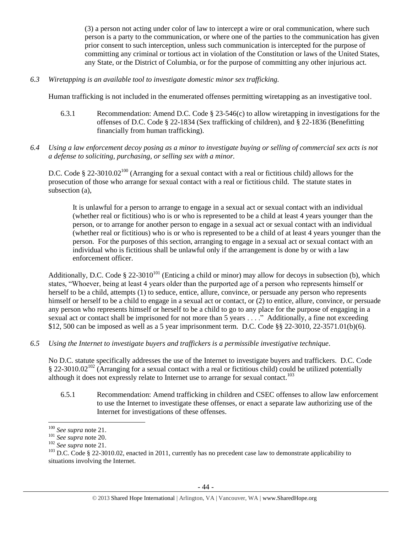(3) a person not acting under color of law to intercept a wire or oral communication, where such person is a party to the communication, or where one of the parties to the communication has given prior consent to such interception, unless such communication is intercepted for the purpose of committing any criminal or tortious act in violation of the Constitution or laws of the United States, any State, or the District of Columbia, or for the purpose of committing any other injurious act.

*6.3 Wiretapping is an available tool to investigate domestic minor sex trafficking.* 

Human trafficking is not included in the enumerated offenses permitting wiretapping as an investigative tool.

- 6.3.1 Recommendation: Amend D.C. Code § 23-546(c) to allow wiretapping in investigations for the offenses of D.C. Code § 22-1834 (Sex trafficking of children), and § 22-1836 (Benefitting financially from human trafficking).
- *6.4 Using a law enforcement decoy posing as a minor to investigate buying or selling of commercial sex acts is not a defense to soliciting, purchasing, or selling sex with a minor.*

D.C. Code § 22-3010.02<sup>100</sup> (Arranging for a sexual contact with a real or fictitious child) allows for the prosecution of those who arrange for sexual contact with a real or fictitious child. The statute states in subsection (a),

It is unlawful for a person to arrange to engage in a sexual act or sexual contact with an individual (whether real or fictitious) who is or who is represented to be a child at least 4 years younger than the person, or to arrange for another person to engage in a sexual act or sexual contact with an individual (whether real or fictitious) who is or who is represented to be a child of at least 4 years younger than the person. For the purposes of this section, arranging to engage in a sexual act or sexual contact with an individual who is fictitious shall be unlawful only if the arrangement is done by or with a law enforcement officer.

Additionally, D.C. Code § 22-3010<sup>101</sup> (Enticing a child or minor) may allow for decoys in subsection (b), which states, "Whoever, being at least 4 years older than the purported age of a person who represents himself or herself to be a child, attempts (1) to seduce, entice, allure, convince, or persuade any person who represents himself or herself to be a child to engage in a sexual act or contact, or (2) to entice, allure, convince, or persuade any person who represents himself or herself to be a child to go to any place for the purpose of engaging in a sexual act or contact shall be imprisoned for not more than 5 years . . . ." Additionally, a fine not exceeding \$12, 500 can be imposed as well as a 5 year imprisonment term. D.C. Code §§ 22-3010, 22-3571.01(b)(6).

*6.5 Using the Internet to investigate buyers and traffickers is a permissible investigative technique.*

No D.C. statute specifically addresses the use of the Internet to investigate buyers and traffickers. D.C. Code  $\S 22-3010.02^{102}$  (Arranging for a sexual contact with a real or fictitious child) could be utilized potentially although it does not expressly relate to Internet use to arrange for sexual contact.<sup>103</sup>

6.5.1 Recommendation: Amend trafficking in children and CSEC offenses to allow law enforcement to use the Internet to investigate these offenses, or enact a separate law authorizing use of the Internet for investigations of these offenses.

l <sup>100</sup> *See supra* not[e 21.](#page-3-2)

<sup>101</sup> *See supra* not[e 20.](#page-3-1)

<sup>102</sup> *See supra* not[e 21.](#page-3-2)

 $103$  D.C. Code § 22-3010.02, enacted in 2011, currently has no precedent case law to demonstrate applicability to situations involving the Internet.